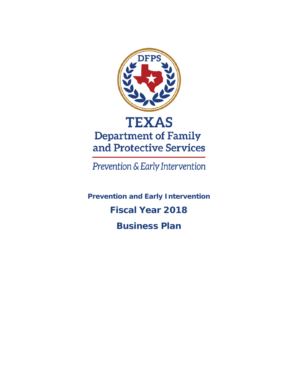

Prevention & Early Intervention

**Prevention and Early Intervention Fiscal Year 2018 Business Plan**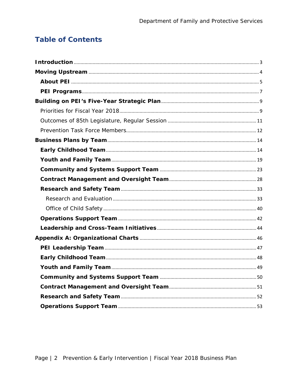# **Table of Contents**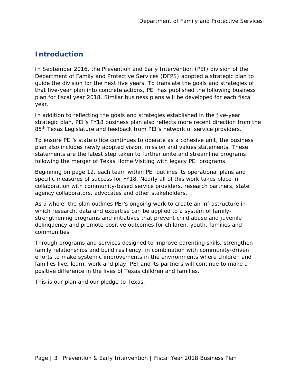## <span id="page-2-0"></span>**Introduction**

In September 2016, the Prevention and Early Intervention (PEI) division of the Department of Family and Protective Services (DFPS) adopted a strategic plan to guide the division for the next five years. To translate the goals and strategies of that five-year plan into concrete actions, PEI has published the following business plan for fiscal year 2018. Similar business plans will be developed for each fiscal year.

In addition to reflecting the goals and strategies established in the five-year strategic plan, PEI's FY18 business plan also reflects more recent direction from the 85<sup>th</sup> Texas Legislature and feedback from PEI's network of service providers.

To ensure PEI's state office continues to operate as a cohesive unit, the business plan also includes newly adopted vision, mission and values statements. These statements are the latest step taken to further unite and streamline programs following the merger of Texas Home Visiting with legacy PEI programs.

Beginning on page 12, each team within PEI outlines its operational plans and specific measures of success for FY18. Nearly all of this work takes place in collaboration with community-based service providers, research partners, state agency collaborators, advocates and other stakeholders.

As a whole, the plan outlines PEI's ongoing work to create an infrastructure in which research, data and expertise can be applied to a system of familystrengthening programs and initiatives that prevent child abuse and juvenile delinquency and promote positive outcomes for children, youth, families and communities.

Through programs and services designed to improve parenting skills, strengthen family relationships and build resiliency, in combination with community-driven efforts to make systemic improvements in the environments where children and families live, learn, work and play, PEI and its partners will continue to make a positive difference in the lives of Texas children and families.

This is our plan and our pledge to Texas.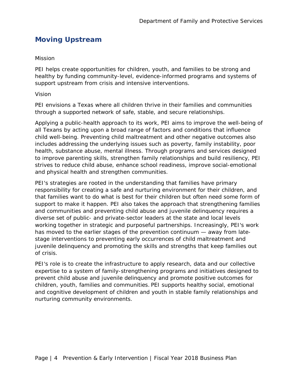# <span id="page-3-0"></span>**Moving Upstream**

#### Mission

PEI helps create opportunities for children, youth, and families to be strong and healthy by funding community-level, evidence-informed programs and systems of support upstream from crisis and intensive interventions.

#### Vision

PEI envisions a Texas where all children thrive in their families and communities through a supported network of safe, stable, and secure relationships.

Applying a public-health approach to its work, PEI aims to improve the well-being of all Texans by acting upon a broad range of factors and conditions that influence child well-being. Preventing child maltreatment and other negative outcomes also includes addressing the underlying issues such as poverty, family instability, poor health, substance abuse, mental illness. Through programs and services designed to improve parenting skills, strengthen family relationships and build resiliency, PEI strives to reduce child abuse, enhance school readiness, improve social-emotional and physical health and strengthen communities.

PEI's strategies are rooted in the understanding that families have primary responsibility for creating a safe and nurturing environment for their children, and that families want to do what is best for their children but often need some form of support to make it happen. PEI also takes the approach that strengthening families and communities and preventing child abuse and juvenile delinquency requires a diverse set of public- and private-sector leaders at the state and local levels working together in strategic and purposeful partnerships. Increasingly, PEI's work has moved to the earlier stages of the prevention continuum — away from latestage interventions to preventing early occurrences of child maltreatment and juvenile delinquency and promoting the skills and strengths that keep families out of crisis.

<span id="page-3-1"></span>PEI's role is to create the infrastructure to apply research, data and our collective expertise to a system of family-strengthening programs and initiatives designed to prevent child abuse and juvenile delinquency and promote positive outcomes for children, youth, families and communities. PEI supports healthy social, emotional and cognitive development of children and youth in stable family relationships and nurturing community environments.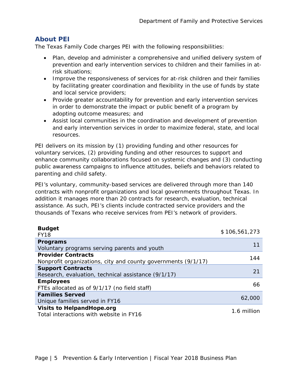### **About PEI**

The Texas Family Code charges PEI with the following responsibilities:

- Plan, develop and administer a comprehensive and unified delivery system of prevention and early intervention services to children and their families in atrisk situations;
- Improve the responsiveness of services for at-risk children and their families by facilitating greater coordination and flexibility in the use of funds by state and local service providers;
- Provide greater accountability for prevention and early intervention services in order to demonstrate the impact or public benefit of a program by adopting outcome measures; and
- Assist local communities in the coordination and development of prevention and early intervention services in order to maximize federal, state, and local resources.

PEI delivers on its mission by (1) providing funding and other resources for voluntary services, (2) providing funding and other resources to support and enhance community collaborations focused on systemic changes and (3) conducting public awareness campaigns to influence attitudes, beliefs and behaviors related to parenting and child safety.

PEI's voluntary, community-based services are delivered through more than 140 contracts with nonprofit organizations and local governments throughout Texas. In addition it manages more than 20 contracts for research, evaluation, technical assistance. As such, PEI's clients include contracted service providers and the thousands of Texans who receive services from PEI's network of providers.

| <b>Budget</b><br><b>FY18</b>                                                | \$106,561,273 |
|-----------------------------------------------------------------------------|---------------|
| Programs                                                                    | 11            |
| Voluntary programs serving parents and youth                                |               |
| <b>Provider Contracts</b>                                                   |               |
| Nonprofit organizations, city and county governments (9/1/17)               | 144           |
| <b>Support Contracts</b>                                                    | 21            |
| Research, evaluation, technical assistance (9/1/17)                         |               |
| <b>Employees</b>                                                            |               |
| FTEs allocated as of 9/1/17 (no field staff)                                | 66            |
| <b>Families Served</b>                                                      |               |
| Unique families served in FY16                                              | 62,000        |
| <b>Visits to HelpandHope.org</b><br>Total interactions with website in FY16 | 1.6 million   |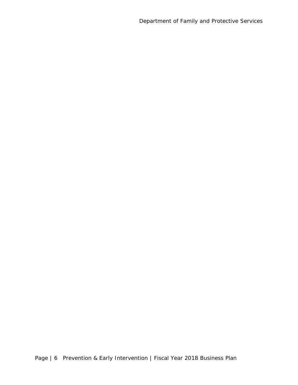<span id="page-5-0"></span>Page | 6 Prevention & Early Intervention | Fiscal Year 2018 Business Plan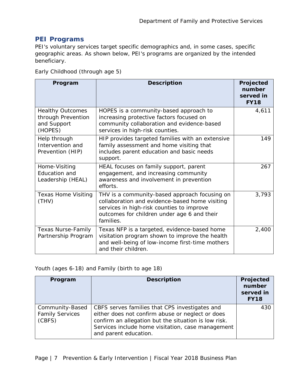#### **PEI Programs**

PEI's voluntary services target specific demographics and, in some cases, specific geographic areas. As shown below, PEI's programs are organized by the intended beneficiary.

Early Childhood (through age 5)

| Program                                                                 | <b>Description</b>                                                                                                                                                                                       | Projected<br>number<br>served in<br><b>FY18</b> |
|-------------------------------------------------------------------------|----------------------------------------------------------------------------------------------------------------------------------------------------------------------------------------------------------|-------------------------------------------------|
| <b>Healthy Outcomes</b><br>through Prevention<br>and Support<br>(HOPES) | HOPES is a community-based approach to<br>increasing protective factors focused on<br>community collaboration and evidence-based<br>services in high-risk counties.                                      | 4,611                                           |
| Help through<br>Intervention and<br>Prevention (HIP)                    | HIP provides targeted families with an extensive<br>family assessment and home visiting that<br>includes parent education and basic needs<br>support.                                                    | 149                                             |
| Home-Visiting<br>Education and<br>Leadership (HEAL)                     | HEAL focuses on family support, parent<br>engagement, and increasing community<br>awareness and involvement in prevention<br>efforts.                                                                    | 267                                             |
| <b>Texas Home Visiting</b><br>(THV)                                     | THV is a community-based approach focusing on<br>collaboration and evidence-based home visiting<br>services in high-risk counties to improve<br>outcomes for children under age 6 and their<br>families. | 3,793                                           |
| <b>Texas Nurse-Family</b><br>Partnership Program                        | Texas NFP is a targeted, evidence-based home<br>visitation program shown to improve the health<br>and well-being of low-income first-time mothers<br>and their children.                                 | 2,400                                           |

#### Youth (ages 6-18) and Family (birth to age 18)

| Program                                             | <b>Description</b>                                                                                                                                                                                                                       | Projected<br>number<br>served in<br><b>FY18</b> |
|-----------------------------------------------------|------------------------------------------------------------------------------------------------------------------------------------------------------------------------------------------------------------------------------------------|-------------------------------------------------|
| Community-Based<br><b>Family Services</b><br>(CBFS) | CBFS serves families that CPS investigates and<br>either does not confirm abuse or neglect or does<br>confirm an allegation but the situation is low risk.<br>Services include home visitation, case management<br>and parent education. | 430                                             |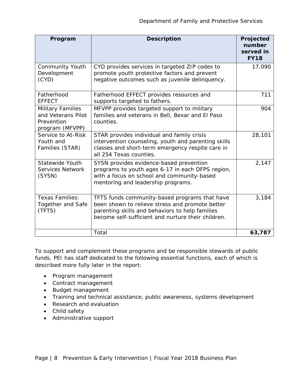| Program                                                                         | <b>Description</b>                                                                                                                                                                                        | Projected<br>number<br>served in<br><b>FY18</b> |
|---------------------------------------------------------------------------------|-----------------------------------------------------------------------------------------------------------------------------------------------------------------------------------------------------------|-------------------------------------------------|
| <b>Community Youth</b><br>Development<br>(CYD)                                  | CYD provides services in targeted ZIP codes to<br>promote youth protective factors and prevent<br>negative outcomes such as juvenile delinquency.                                                         | 17,090                                          |
| Fatherhood<br><b>EFFECT</b>                                                     | Fatherhood EFFECT provides resources and<br>supports targeted to fathers.                                                                                                                                 | 711                                             |
| <b>Military Families</b><br>and Veterans Pilot<br>Prevention<br>program (MFVPP) | MFVPP provides targeted support to military<br>families and veterans in Bell, Bexar and El Paso<br>counties.                                                                                              | 904                                             |
| Service to At-Risk<br>Youth and<br>Families (STAR)                              | STAR provides individual and family crisis<br>intervention counseling, youth and parenting skills<br>classes and short-term emergency respite care in<br>all 254 Texas counties.                          | 28,101                                          |
| Statewide Youth<br><b>Services Network</b><br>(SYSN)                            | SYSN provides evidence-based prevention<br>programs to youth ages 6-17 in each DFPS region,<br>with a focus on school and community-based<br>mentoring and leadership programs.                           | 2,147                                           |
| <b>Texas Families:</b><br>Together and Safe<br>(TFTS)                           | TFTS funds community-based programs that have<br>been shown to relieve stress and promote better<br>parenting skills and behaviors to help families<br>become self-sufficient and nurture their children. | 3,184                                           |
|                                                                                 | Total                                                                                                                                                                                                     | 63,787                                          |

To support and complement these programs and be responsible stewards of public funds, PEI has staff dedicated to the following essential functions, each of which is described more fully later in the report:

- Program management
- Contract management
- Budget management
- Training and technical assistance, public awareness, systems development
- Research and evaluation
- Child safety
- Administrative support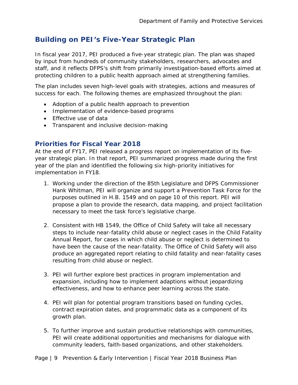# <span id="page-8-0"></span>**Building on PEI's Five-Year Strategic Plan**

In fiscal year 2017, PEI produced a five-year strategic plan. The plan was shaped by input from hundreds of community stakeholders, researchers, advocates and staff, and it reflects DFPS's shift from primarily investigation-based efforts aimed at protecting children to a public health approach aimed at strengthening families.

The plan includes seven high-level goals with strategies, actions and measures of success for each. The following themes are emphasized throughout the plan:

- Adoption of a public health approach to prevention
- Implementation of evidence-based programs
- Effective use of data
- Transparent and inclusive decision-making

### <span id="page-8-1"></span>**Priorities for Fiscal Year 2018**

At the end of FY17, PEI released a progress report on implementation of its fiveyear strategic plan. In that report, PEI summarized progress made during the first year of the plan and identified the following six high-priority initiatives for implementation in FY18.

- 1. Working under the direction of the 85th Legislature and DFPS Commissioner Hank Whitman, PEI will organize and support a Prevention Task Force for the purposes outlined in H.B. 1549 and on page 10 of this report. PEI will propose a plan to provide the research, data mapping, and project facilitation necessary to meet the task force's legislative charge.
- 2. Consistent with HB 1549, the Office of Child Safety will take all necessary steps to include near-fatality child abuse or neglect cases in the Child Fatality Annual Report, for cases in which child abuse or neglect is determined to have been the cause of the near-fatality. The Office of Child Safety will also produce an aggregated report relating to child fatality and near-fatality cases resulting from child abuse or neglect.
- 3. PEI will further explore best practices in program implementation and expansion, including how to implement adaptions without jeopardizing effectiveness, and how to enhance peer learning across the state.
- 4. PEI will plan for potential program transitions based on funding cycles, contract expiration dates, and programmatic data as a component of its growth plan.
- 5. To further improve and sustain productive relationships with communities, PEI will create additional opportunities and mechanisms for dialogue with community leaders, faith-based organizations, and other stakeholders.

Page | 9 Prevention & Early Intervention | Fiscal Year 2018 Business Plan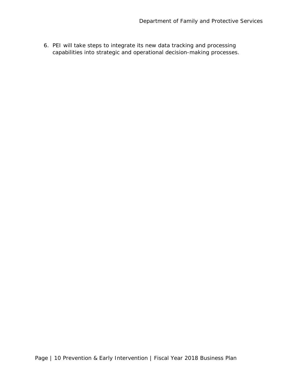6. PEI will take steps to integrate its new data tracking and processing capabilities into strategic and operational decision-making processes.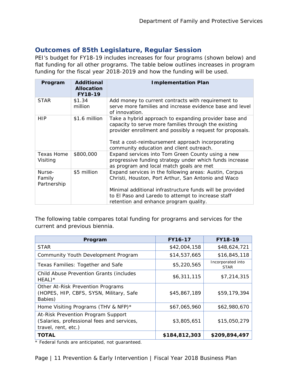### <span id="page-10-0"></span>**Outcomes of 85th Legislature, Regular Session**

PEI's budget for FY18-19 includes increases for four programs (shown below) and flat funding for all other programs. The table below outlines increases in program funding for the fiscal year 2018-2019 and how the funding will be used.

| Program                         | <b>Additional</b><br><b>Allocation</b><br><b>FY18-19</b> | <b>Implementation Plan</b>                                                                                                                                                 |
|---------------------------------|----------------------------------------------------------|----------------------------------------------------------------------------------------------------------------------------------------------------------------------------|
| <b>STAR</b>                     | \$1.34<br>million                                        | Add money to current contracts with requirement to<br>serve more families and increase evidence base and level<br>of innovation.                                           |
| <b>HIP</b>                      | \$1.6 million                                            | Take a hybrid approach to expanding provider base and<br>capacity to serve more families through the existing<br>provider enrollment and possibly a request for proposals. |
|                                 |                                                          | Test a cost-reimbursement approach incorporating<br>community education and client outreach.                                                                               |
| Texas Home<br>Visiting          | \$800,000                                                | Expand services into Tom Green County using a new<br>progressive funding strategy under which funds increase<br>as program and local match goals are met                   |
| Nurse-<br>Family<br>Partnership | \$5 million                                              | Expand services in the following areas: Austin, Corpus<br>Christi, Houston, Port Arthur, San Antonio and Waco                                                              |
|                                 |                                                          | Minimal additional infrastructure funds will be provided<br>to El Paso and Laredo to attempt to increase staff<br>retention and enhance program quality.                   |

The following table compares total funding for programs and services for the current and previous biennia.

| Program                                                                                                 | <b>FY16-17</b> | <b>FY18-19</b>                   |
|---------------------------------------------------------------------------------------------------------|----------------|----------------------------------|
| <b>STAR</b>                                                                                             | \$42,004,158   | \$48,624,721                     |
| Community Youth Development Program                                                                     | \$14,537,665   | \$16,845,118                     |
| Texas Families: Together and Safe                                                                       | \$5,220,565    | Incorporated into<br><b>STAR</b> |
| <b>Child Abuse Prevention Grants (includes</b><br>$HEAL)*$                                              | \$6,311,115    | \$7,214,315                      |
| Other At-Risk Prevention Programs<br>(HOPES, HIP, CBFS, SYSN, Military, Safe<br>Babies)                 | \$45,867,189   | \$59,179,394                     |
| Home Visiting Programs (THV & NFP)*                                                                     | \$67,065,960   | \$62,980,670                     |
| At-Risk Prevention Program Support<br>(Salaries, professional fees and services,<br>travel, rent, etc.) | \$3,805,651    | \$15,050,279                     |
| <b>TOTAL</b>                                                                                            | \$184,812,303  | \$209,894,497                    |

\* Federal funds are anticipated, not guaranteed.

Page | 11 Prevention & Early Intervention | Fiscal Year 2018 Business Plan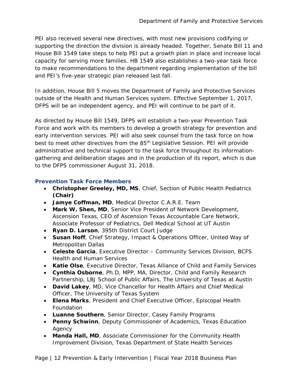PEI also received several new directives, with most new provisions codifying or supporting the direction the division is already headed. Together, Senate Bill 11 and House Bill 1549 take steps to help PEI put a growth plan in place and increase local capacity for serving more families. HB 1549 also establishes a two-year task force to make recommendations to the department regarding implementation of the bill and PEI's five-year strategic plan released last fall.

In addition, House Bill 5 moves the Department of Family and Protective Services outside of the Health and Human Services system. Effective September 1, 2017, DFPS will be an independent agency, and PEI will continue to be part of it.

As directed by House Bill 1549, DFPS will establish a two-year Prevention Task Force and work with its members to develop a growth strategy for prevention and early intervention services. PEI will also seek counsel from the task force on how best to meet other directives from the 85<sup>th</sup> Legislative Session. PEI will provide administrative and technical support to the task force throughout its informationgathering and deliberation stages and in the production of its report, which is due to the DFPS commissioner August 31, 2018.

#### <span id="page-11-0"></span>**Prevention Task Force Members**

- **Christopher Greeley, MD, MS**, Chief, Section of Public Health Pediatrics **(Chair)**
- **Jamye Coffman, MD**, Medical Director C.A.R.E. Team
- **Mark W. Shen, MD**, Senior Vice President of Network Development, Ascension Texas, CEO of Ascension Texas Accountable Care Network, Associate Professor of Pediatrics, Dell Medical School at UT Austin
- **Ryan D. Larson**, 395th District Court Judge
- **Susan Hoff**, Chief Strategy, Impact & Operations Officer, United Way of Metropolitan Dallas
- **Celeste Garcia**, Executive Director Community Services Division, BCFS Health and Human Services
- **Katie Olse**, Executive Director, Texas Alliance of Child and Family Services
- **Cynthia Osborne**, Ph.D, MPP, MA, Director, Child and Family Research Partnership, LBJ School of Public Affairs, The University of Texas at Austin
- **David Lakey**, MD, Vice Chancellor for Health Affairs and Chief Medical Officer, The University of Texas System
- **Elena Marks**, President and Chief Executive Officer, Episcopal Health Foundation
- **Luanne Southern**, Senior Director, Casey Family Programs
- **Penny Schwinn**, Deputy Commissioner of Academics, Texas Education Agency
- **Manda Hall, MD**, Associate Commissioner for the Community Health Improvement Division, Texas Department of State Health Services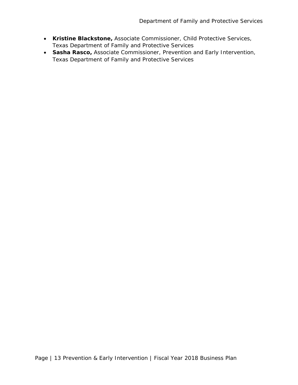- **Kristine Blackstone,** Associate Commissioner, Child Protective Services, Texas Department of Family and Protective Services
- **Sasha Rasco,** Associate Commissioner, Prevention and Early Intervention, Texas Department of Family and Protective Services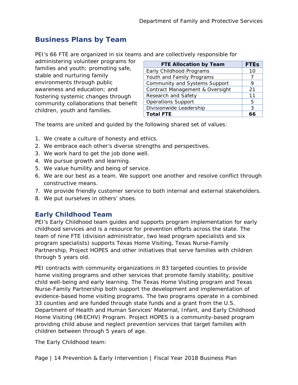## <span id="page-13-0"></span>**Business Plans by Team**

PEI's 66 FTE are organized in six teams and are collectively responsible for

administering volunteer programs for families and youth; promoting safe, stable and nurturing family environments through public awareness and education; and fostering systemic changes through community collaborations that benefit children, youth and families.

| <b>FTE Allocation by Team</b>   | <b>FTEs</b> |
|---------------------------------|-------------|
| Early Childhood Programs        | 10          |
| Youth and Family Programs       |             |
| Community and Systems Support   | 9           |
| Contract Management & Oversight | 21          |
| Research and Safety             | 11          |
| <b>Operations Support</b>       | 5           |
| Divisionwide Leadership         | 3           |
| <b>Total FTE</b>                | 66          |

The teams are united and guided by the following shared set of values:

- 1. We create a culture of honesty and ethics.
- 2. We embrace each other's diverse strengths and perspectives.
- 3. We work hard to get the job done well.
- 4. We pursue growth and learning.
- 5. We value humility and being of service.
- 6. We are our best as a team. We support one another and resolve conflict through constructive means.
- 7. We provide friendly customer service to both internal and external stakeholders.
- 8. We put ourselves in others' shoes.

### <span id="page-13-1"></span>**Early Childhood Team**

PEI's Early Childhood team guides and supports program implementation for early childhood services and is a resource for prevention efforts across the state. The team of nine FTE (division administrator, two lead program specialists and six program specialists) supports Texas Home Visiting, Texas Nurse-Family Partnership, Project HOPES and other initiatives that serve families with children through 5 years old.

PEI contracts with community organizations in 83 targeted counties to provide home visiting programs and other services that promote family stability, positive child well-being and early learning. The Texas Home Visiting program and Texas Nurse-Family Partnership both support the development and implementation of evidence-based home visiting programs. The two programs operate in a combined 33 counties and are funded through state funds and a grant from the U.S. Department of Health and Human Services' Maternal, Infant, and Early Childhood Home Visiting (MIECHV) Program. Project HOPES is a community-based program providing child abuse and neglect prevention services that target families with children between through 5 years of age.

The Early Childhood team: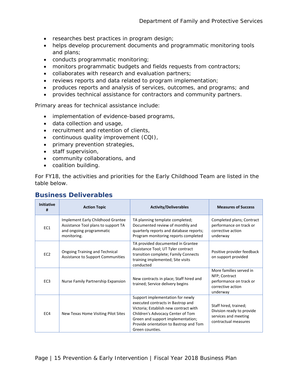- researches best practices in program design;
- helps develop procurement documents and programmatic monitoring tools and plans;
- conducts programmatic monitoring;
- monitors programmatic budgets and fields requests from contractors;
- collaborates with research and evaluation partners;
- reviews reports and data related to program implementation;
- produces reports and analysis of services, outcomes, and programs; and
- provides technical assistance for contractors and community partners.

Primary areas for technical assistance include:

- implementation of evidence-based programs,
- data collection and usage,
- recruitment and retention of clients,
- continuous quality improvement (CQI),
- primary prevention strategies,
- staff supervision,
- community collaborations, and
- coalition building.

For FY18, the activities and priorities for the Early Childhood Team are listed in the table below.

| <b>Initiative</b><br># | <b>Action Topic</b>                                                                                                        | <b>Activity/Deliverables</b>                                                                                                                                                                                                                          | <b>Measures of Success</b>                                                                           |
|------------------------|----------------------------------------------------------------------------------------------------------------------------|-------------------------------------------------------------------------------------------------------------------------------------------------------------------------------------------------------------------------------------------------------|------------------------------------------------------------------------------------------------------|
| EC <sub>1</sub>        | <b>Implement Early Childhood Grantee</b><br>Assistance Tool plans to support TA<br>and ongoing programmatic<br>monitoring. | TA planning template completed;<br>Documented review of monthly and<br>quarterly reports and database reports;<br>Program monitoring reports completed                                                                                                | Completed plans; Contract<br>performance on track or<br>corrective action<br>underway                |
| EC <sub>2</sub>        | Ongoing Training and Technical<br><b>Assistance to Support Communities</b>                                                 | TA provided documented in Grantee<br>Assistance Tool; UT Tyler contract<br>transition complete; Family Connects<br>training implemented; Site visits<br>conducted                                                                                     | Positive provider feedback<br>on support provided                                                    |
| EC <sub>3</sub>        | Nurse Family Partnership Expansion                                                                                         | New contracts in place; Staff hired and<br>trained; Service delivery begins                                                                                                                                                                           | More families served in<br>NFP; Contract<br>performance on track or<br>corrective action<br>underway |
| EC4                    | New Texas Home Visiting Pilot Sites                                                                                        | Support implementation for newly<br>executed contracts in Bastrop and<br>Victoria; Establish new contract with<br>Children's Advocacy Center of Tom<br>Green and support implementation;<br>Provide orientation to Bastrop and Tom<br>Green counties. | Staff hired, trained;<br>Division ready to provide<br>services and meeting<br>contractual measures   |

### **Business Deliverables**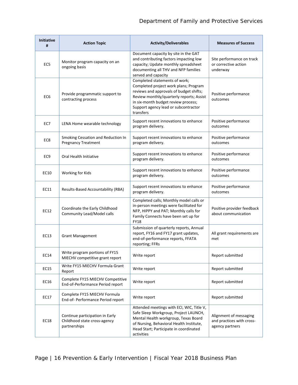| <b>Initiative</b><br># | <b>Action Topic</b>                                                             | <b>Activity/Deliverables</b>                                                                                                                                                                                                                              | <b>Measures of Success</b>                                             |
|------------------------|---------------------------------------------------------------------------------|-----------------------------------------------------------------------------------------------------------------------------------------------------------------------------------------------------------------------------------------------------------|------------------------------------------------------------------------|
| EC <sub>5</sub>        | Monitor program capacity on an<br>ongoing basis                                 | Document capacity by site in the GAT<br>and contributing factors impacting low<br>capacity; Update monthly spreadsheet<br>documenting all THV and NFP families<br>served and capacity                                                                     | Site performance on track<br>or corrective action<br>underway          |
| EC <sub>6</sub>        | Provide programmatic support to<br>contracting process                          | Completed statements of work;<br>Completed project work plans; Program<br>reviews and approvals of budget shifts;<br>Review monthly/quarterly reports; Assist<br>in six-month budget review process;<br>Support agency lead or subcontractor<br>transfers | Positive performance<br>outcomes                                       |
| EC7                    | LENA Home wearable technology                                                   | Support recent innovations to enhance<br>program delivery.                                                                                                                                                                                                | Positive performance<br>outcomes                                       |
| EC8                    | Smoking Cessation and Reduction In<br><b>Pregnancy Treatment</b>                | Support recent innovations to enhance<br>program delivery.                                                                                                                                                                                                | Positive performance<br>outcomes                                       |
| EC <sub>9</sub>        | Oral Health Initiative                                                          | Support recent innovations to enhance<br>program delivery.                                                                                                                                                                                                | Positive performance<br>outcomes                                       |
| EC10                   | Working for Kids                                                                | Support recent innovations to enhance<br>program delivery.                                                                                                                                                                                                | Positive performance<br>outcomes                                       |
| EC11                   | Results-Based Accountability (RBA)                                              | Support recent innovations to enhance<br>program delivery.                                                                                                                                                                                                | Positive performance<br>outcomes                                       |
| EC12                   | Coordinate the Early Childhood<br>Community Lead/Model calls                    | Completed calls; Monthly model calls or<br>in-person meetings were facilitated for<br>NFP, HIPPY and PAT; Monthly calls for<br>Family Connects have been set up for<br><b>FY18</b>                                                                        | Positive provider feedback<br>about communication                      |
| EC13                   | <b>Grant Management</b>                                                         | Submission of quarterly reports, Annual<br>report, FY16 and FY17 grant updates,<br>end-of-performance reports, FFATA<br>reporting; FFRs                                                                                                                   | All grant requirements are<br>met                                      |
| EC14                   | Write program portions of FY15<br>MIECHV competitive grant report               | Write report                                                                                                                                                                                                                                              | Report submitted                                                       |
| EC15                   | Write FY15 MIECHV Formula Grant<br>Report                                       | Write report                                                                                                                                                                                                                                              | Report submitted                                                       |
| EC16                   | Complete FY15 MIECHV Competitive<br>End-of-Performance Period report            | Write report                                                                                                                                                                                                                                              | Report submitted                                                       |
| EC17                   | Complete FY15 MIECHV Formula<br>End-of- Performance Period report               | Write report                                                                                                                                                                                                                                              | Report submitted                                                       |
| <b>EC18</b>            | Continue participation in Early<br>Childhood state cross-agency<br>partnerships | Attended meetings with ECI, WIC, Title V,<br>Safe Sleep Workgroup, Project LAUNCH,<br>Mental Health workgroup, Texas Board<br>of Nursing, Behavioral Health Institute,<br>Head Start; Participate in coordinated<br>activities                            | Alignment of messaging<br>and practices with cross-<br>agency partners |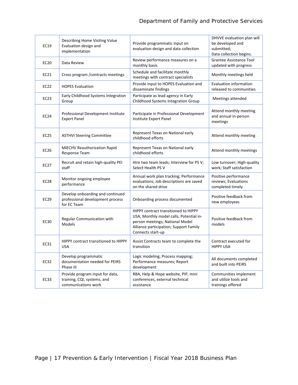| EC19        | Describing Home Visiting Value<br>Evaluation design and<br>implementation             | Provide programmatic input on<br>evaluation design and data collection                                                                                                            | DHVVE evaluation plan will<br>be developed and<br>submitted;<br>Data collection begins. |
|-------------|---------------------------------------------------------------------------------------|-----------------------------------------------------------------------------------------------------------------------------------------------------------------------------------|-----------------------------------------------------------------------------------------|
| <b>EC20</b> | Data Review                                                                           | Review performance measures on a<br>monthly basis                                                                                                                                 | Grantee Assistance Tool<br>updated with progress                                        |
| EC21        | Cross program / contracts meetings                                                    | Schedule and facilitate monthly<br>meetings with contract specialists                                                                                                             | Monthly meetings held                                                                   |
| EC22        | <b>HOPES Evaluation</b>                                                               | Provide input to HOPES Evaluation and<br>disseminate findings                                                                                                                     | Evaluation information<br>released to communities                                       |
| EC23        | Early Childhood Systems Integration<br>Group                                          | Participate as lead agency in Early<br>Childhood Systems Integration Group                                                                                                        | Meetings attended                                                                       |
| <b>EC24</b> | Professional Development Institute<br><b>Expert Panel</b>                             | Participate in Professional Development<br>Institute Expert Panel                                                                                                                 | Attend monthly meeting<br>and annual in-person<br>meetings                              |
| EC25        | <b>ASTHVI Steering Committee</b>                                                      | Represent Texas on National early<br>childhood efforts                                                                                                                            | Attend monthly meeting                                                                  |
| EC26        | <b>MIECHV Reauthorization Rapid</b><br><b>Response Team</b>                           | Represent Texas on National early<br>childhood efforts                                                                                                                            | Attend monthly meetings                                                                 |
| <b>EC27</b> | Recruit and retain high-quality PEI<br>staff                                          | Hire two team leads; Interview for PS V;<br>Select Health PS V                                                                                                                    | Low turnover; High-quality<br>work; Staff satisfaction                                  |
| <b>EC28</b> | Monitor ongoing employee<br>performance                                               | Annual work plan tracking; Performance<br>evaluations; Job descriptions are saved<br>on the shared drive                                                                          | Positive performance<br>reviews; Evaluations<br>completed timely                        |
| <b>EC29</b> | Develop onboarding and continued<br>professional development process<br>for EC Team   | Onboarding process documented                                                                                                                                                     | Positive feedback from<br>new employees                                                 |
| <b>EC30</b> | Regular Communication with<br><b>Models</b>                                           | HIPPY contract transitioned to HIPPY<br>USA; Monthly model calls; Potential in-<br>person meetings; National Model<br>Alliance participation; Support Family<br>Connects start-up | Positive feedback from<br>models                                                        |
| EC31        | HIPPY contract transitioned to HIPPY<br><b>USA</b>                                    | Assist Contracts team to complete the<br>transition                                                                                                                               | Contract executed for<br><b>HIPPY USA</b>                                               |
| EC32        | Develop programmatic<br>documentation needed for PEIRS<br>Phase III                   | Logic modeling; Process mapping;<br>Performance measures; Report<br>development                                                                                                   | All documents completed<br>and built into PEIRS                                         |
| EC33        | Provide program input for data,<br>training, CQI, systems, and<br>communications work | RBA, Help & Hope website, PIP, mini<br>conferences, external technical<br>assistance                                                                                              | Communities implement<br>and utilize tools and<br>trainings offered                     |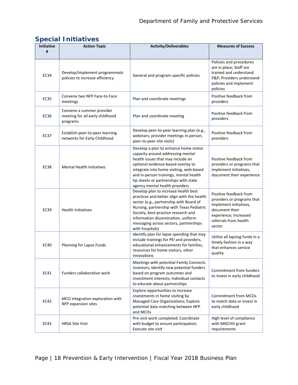# **Special Initiatives**

| <b>Initiative</b> | <b>Action Topic</b>                                                      | <b>Activity/Deliverables</b>                                                                                                                                                                                                                                                                                           | <b>Measures of Success</b>                                                                                                                                   |
|-------------------|--------------------------------------------------------------------------|------------------------------------------------------------------------------------------------------------------------------------------------------------------------------------------------------------------------------------------------------------------------------------------------------------------------|--------------------------------------------------------------------------------------------------------------------------------------------------------------|
| #                 |                                                                          |                                                                                                                                                                                                                                                                                                                        |                                                                                                                                                              |
| <b>EC34</b>       | Develop/implement programmatic<br>policies to increase efficiency        | General and program-specific policies                                                                                                                                                                                                                                                                                  | Policies and procedures<br>are in place; Staff are<br>trained and understand<br>P&P Providers understand<br>policies and implement<br>policies               |
| <b>EC35</b>       | Convene two NFP Face-to-Face<br>meetings                                 | Plan and coordinate meetings                                                                                                                                                                                                                                                                                           | Positive feedback from<br>providers                                                                                                                          |
| EC36              | Convene a summer provider<br>meeting for all early childhood<br>programs | Plan and coordinate meeting                                                                                                                                                                                                                                                                                            | Positive feedback from<br>providers                                                                                                                          |
| <b>EC37</b>       | Establish peer-to-peer learning<br>networks for Early Childhood          | Develop peer-to-peer learning plan (e.g.,<br>webinars, provider meetings in-person,<br>peer-to-peer site visits)                                                                                                                                                                                                       | Positive feedback from<br>providers                                                                                                                          |
| <b>EC38</b>       | <b>Mental Health Initiatives</b>                                         | Develop a plan to enhance home visitor<br>capacity around addressing mental<br>health issues that may include an<br>optional evidence-based overlay to<br>integrate into home visiting, web-based<br>and in-person trainings, mental health<br>tip sheets or partnerships with state<br>agency mental health providers | Positive feedback from<br>providers or programs that<br>implement initiatives,<br>document their experience                                                  |
| <b>EC39</b>       | <b>Health Initiatives</b>                                                | Develop plan to increase health best<br>practices and better align with the health<br>sector (e.g., partnership with Board of<br>Nursing, partnership with Texas Pediatric<br>Society, best-practice research and<br>information dissemination, uniform<br>messaging across sectors, partnerships<br>with hospitals)   | Positive feedback from<br>providers or programs that<br>implement initiatives,<br>document their<br>experience; Increased<br>referrals from health<br>sector |
| <b>EC40</b>       | Planning for Lapse Funds                                                 | Identify plan for lapse spending that may<br>include trainings for PEI and providers,<br>educational enhancements for families,<br>resources for home visitors, other<br>innovations                                                                                                                                   | Utilize all lapsing funds in a<br>timely fashion in a way<br>that enhances service<br>quality                                                                |
| EC41              | Funders collaborative work                                               | Meetings with potential Family Connects<br>investors; Identify new potential funders<br>based on program outcomes and<br>investment interests; Individual contacts<br>to educate about partnerships                                                                                                                    | Commitment from funders<br>to invest in early childhood                                                                                                      |
| EC42              | MCO integration exploration with<br>NFP expansion sites                  | Explore opportunities to increase<br>investments in home visiting by<br>Managed Care Organizations; Explore<br>potential data matching between NFP<br>and MCOs                                                                                                                                                         | <b>Commitment from MCOs</b><br>to match data or invest in<br>early childhood                                                                                 |
| EC43              | <b>HRSA Site Visit</b>                                                   | Pre-visit work completed; Coordinate<br>with budget to ensure participation;<br>Execute site visit                                                                                                                                                                                                                     | High level of compliance<br>with MIECHV grant<br>requirements                                                                                                |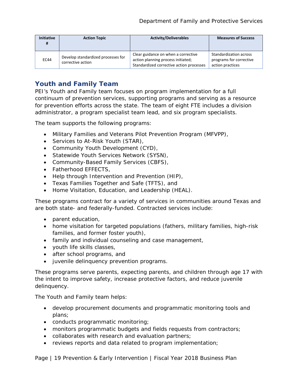| <b>Initiative</b><br># | <b>Action Topic</b>                                     | <b>Activity/Deliverables</b>                                                                                          | <b>Measures of Success</b>                                            |
|------------------------|---------------------------------------------------------|-----------------------------------------------------------------------------------------------------------------------|-----------------------------------------------------------------------|
| EC44                   | Develop standardized processes for<br>corrective action | Clear guidance on when a corrective<br>action planning process initiated;<br>Standardized corrective action processes | Standardization across<br>programs for corrective<br>action practices |

## <span id="page-18-0"></span>**Youth and Family Team**

PEI's Youth and Family team focuses on program implementation for a full continuum of prevention services, supporting programs and serving as a resource for prevention efforts across the state. The team of eight FTE includes a division administrator, a program specialist team lead, and six program specialists.

The team supports the following programs:

- Military Families and Veterans Pilot Prevention Program (MFVPP),
- Services to At-Risk Youth (STAR),
- Community Youth Development (CYD),
- Statewide Youth Services Network (SYSN),
- Community-Based Family Services (CBFS),
- Fatherhood EFFECTS,
- Help through Intervention and Prevention (HIP),
- Texas Families Together and Safe (TFTS), and
- Home Visitation, Education, and Leadership (HEAL).

These programs contract for a variety of services in communities around Texas and are both state- and federally-funded. Contracted services include:

- parent education,
- home visitation for targeted populations (fathers, military families, high-risk families, and former foster youth),
- family and individual counseling and case management,
- youth life skills classes,
- after school programs, and
- juvenile delinquency prevention programs.

These programs serve parents, expecting parents, and children through age 17 with the intent to improve safety, increase protective factors, and reduce juvenile delinquency.

The Youth and Family team helps:

- develop procurement documents and programmatic monitoring tools and plans;
- conducts programmatic monitoring;
- monitors programmatic budgets and fields requests from contractors;
- collaborates with research and evaluation partners;
- reviews reports and data related to program implementation;

Page | 19 Prevention & Early Intervention | Fiscal Year 2018 Business Plan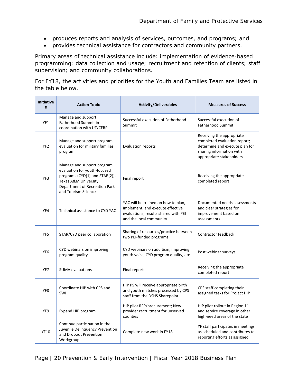- produces reports and analysis of services, outcomes, and programs; and
- provides technical assistance for contractors and community partners.

Primary areas of technical assistance include: implementation of evidence-based programming; data collection and usage; recruitment and retention of clients; staff supervision; and community collaborations.

For FY18, the activities and priorities for the Youth and Families Team are listed in the table below.

| <b>Initiative</b><br># | <b>Action Topic</b>                                                                                                                                                            | <b>Activity/Deliverables</b>                                                                                                               | <b>Measures of Success</b>                                                                                                                          |
|------------------------|--------------------------------------------------------------------------------------------------------------------------------------------------------------------------------|--------------------------------------------------------------------------------------------------------------------------------------------|-----------------------------------------------------------------------------------------------------------------------------------------------------|
| YF1                    | Manage and support<br><b>Fatherhood Summit in</b><br>coordination with UT/CFRP                                                                                                 | Successful execution of Fatherhood<br>Summit                                                                                               | Successful execution of<br><b>Fatherhood Summit</b>                                                                                                 |
| YF <sub>2</sub>        | Manage and support program<br>evaluation for military families<br>program                                                                                                      | <b>Evaluation reports</b>                                                                                                                  | Receiving the appropriate<br>completed evaluation report;<br>determine and execute plan for<br>sharing information with<br>appropriate stakeholders |
| YF3                    | Manage and support program<br>evaluation for youth-focused<br>programs (CYD[1] and STAR[2]),<br>Texas A&M University,<br>Department of Recreation Park<br>and Tourism Sciences | Final report                                                                                                                               | Receiving the appropriate<br>completed report                                                                                                       |
| YF4                    | Technical assistance to CYD YAC                                                                                                                                                | YAC will be trained on how to plan,<br>implement, and execute effective<br>evaluations; results shared with PEI<br>and the local community | Documented needs assessments<br>and clear strategies for<br>improvement based on<br>assessments                                                     |
| YF5                    | STAR/CYD peer collaboration                                                                                                                                                    | Sharing of resources/practice between<br>two PEI-funded programs                                                                           | <b>Contractor feedback</b>                                                                                                                          |
| YF <sub>6</sub>        | CYD webinars on improving<br>program quality                                                                                                                                   | CYD webinars on adultism, improving<br>youth voice, CYD program quality, etc.                                                              | Post webinar surveys                                                                                                                                |
| YF7                    | <b>SUMA evaluations</b>                                                                                                                                                        | Final report                                                                                                                               | Receiving the appropriate<br>completed report                                                                                                       |
| YF <sub>8</sub>        | Coordinate HIP with CPS and<br>SWI                                                                                                                                             | HIP PS will receive appropriate birth<br>and youth matches processed by CPS<br>staff from the DSHS Sharepoint.                             | CPS staff completing their<br>assigned tasks for Project HIP                                                                                        |
| YF9                    | Expand HIP program                                                                                                                                                             | HIP pilot RFP/procurement; New<br>provider recruitment for unserved<br>counties                                                            | HIP pilot rollout in Region 11<br>and service coverage in other<br>high-need areas of the state                                                     |
| <b>YF10</b>            | Continue participation in the<br>Juvenile Delinquency Prevention<br>and Dropout Prevention<br>Workgroup                                                                        | Complete new work in FY18                                                                                                                  | YF staff participates in meetings<br>as scheduled and contributes to<br>reporting efforts as assigned                                               |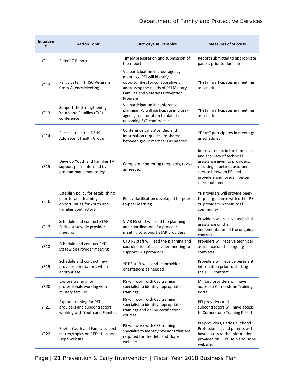| <b>Initiative</b><br># | <b>Action Topic</b>                                                                                                      | <b>Activity/Deliverables</b>                                                                                                                                                                        | <b>Measures of Success</b>                                                                                                                                                                                    |
|------------------------|--------------------------------------------------------------------------------------------------------------------------|-----------------------------------------------------------------------------------------------------------------------------------------------------------------------------------------------------|---------------------------------------------------------------------------------------------------------------------------------------------------------------------------------------------------------------|
| <b>YF11</b>            | Rider 17 Report                                                                                                          | Timely preparation and submission of<br>the report                                                                                                                                                  | Report submitted to appropriate<br>parties prior to due date                                                                                                                                                  |
| <b>YF12</b>            | Participate in HHSC Veterans<br><b>Cross-Agency Meeting</b>                                                              | Via participation in cross-agency<br>meetings, PEI will identify<br>opportunities for collaboratively<br>addressing the needs of PEI Military<br><b>Families and Veterans Prevention</b><br>Program | YF staff participates in meetings<br>as scheduled                                                                                                                                                             |
| <b>YF13</b>            | Support the Strengthening<br>Youth and Families (SYF)<br>conference                                                      | Via participation in conference<br>planning, PS will participate in cross-<br>agency collaboration to plan the<br>upcoming SYF conference.                                                          | YF staff participates in meetings<br>as scheduled                                                                                                                                                             |
| <b>YF14</b>            | Participate in the DSHS<br>Adolescent Health Group                                                                       | Conference calls attended and<br>information requests are shared<br>between group members as needed.                                                                                                | YF staff participates in meetings<br>as scheduled                                                                                                                                                             |
| <b>YF15</b>            | Develop Youth and Families TA<br>support plans informed by<br>programmatic monitoring                                    | Complete monitoring templates, revise<br>as needed                                                                                                                                                  | Improvements in the timeliness<br>and accuracy of technical<br>assistance given to providers,<br>resulting in better customer<br>service between PEI and<br>providers and, overall, better<br>client outcomes |
| <b>YF16</b>            | Establish policy for establishing<br>peer-to-peer learning<br>opportunities for Youth and<br><b>Families contractors</b> | Policy clarification developed for peer-<br>to-peer learning                                                                                                                                        | YF Providers will provide peer-<br>to-peer guidance with other PEI<br>YF providers in their local<br>community                                                                                                |
| <b>YF17</b>            | Schedule and conduct STAR<br>Spring statewide provider<br>meeting                                                        | STAR PS staff will lead the planning<br>and coordination of a provider<br>meeting to support STAR providers                                                                                         | Providers will receive technical<br>assistance on the<br>implementation of the ongoing<br>contracts                                                                                                           |
| <b>YF18</b>            | Schedule and conduct CYD<br><b>Statewide Provider meeting</b>                                                            | CYD PS staff will lead the planning and<br>coordination of a provider meeting to<br>support CYD providers                                                                                           | Providers will receive technical<br>assistance on the ongoing<br>contracts                                                                                                                                    |
| <b>YF19</b>            | Schedule and conduct new<br>provider orientations when<br>appropriate                                                    | YF PS staff will conduct provider<br>orientations as needed                                                                                                                                         | Providers will receive pertinent<br>information prior to starting<br>their PEI contract                                                                                                                       |
| <b>YF20</b>            | Explore training for<br>professionals working with<br>military families                                                  | PS will work with CSS training<br>specialist to identify appropriate<br>trainings                                                                                                                   | Military providers will have<br>access to Cornerstone Training<br>Portal                                                                                                                                      |
| <b>YF21</b>            | <b>Explore training for PEI</b><br>providers and subcontractors<br>working with Youth and Families                       | PS will work with CSS training<br>specialist to identify appropriate<br>trainings and online certification<br>courses                                                                               | PEI providers and<br>subcontractors will have access<br>to Cornerstone Training Portal                                                                                                                        |
| <b>YF22</b>            | Revise Youth and Family subject<br>matter/topics on PEI's Help and<br>Hope website                                       | PS will work with CSS training<br>specialist to identify revisions that are<br>required for the Help and Hope<br>website.                                                                           | PEI providers, Early Childhood<br>Professionals, and parents will<br>have access to the information<br>provided on PEI's Help and Hope<br>website.                                                            |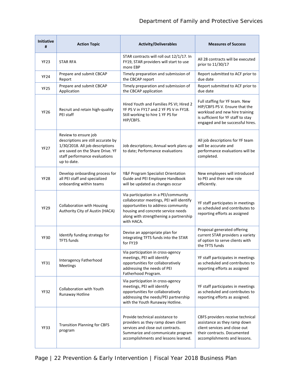| <b>Initiative</b><br># | <b>Action Topic</b>                                                                                                                                                               | <b>Activity/Deliverables</b>                                                                                                                                                                                         | <b>Measures of Success</b>                                                                                                                                                   |
|------------------------|-----------------------------------------------------------------------------------------------------------------------------------------------------------------------------------|----------------------------------------------------------------------------------------------------------------------------------------------------------------------------------------------------------------------|------------------------------------------------------------------------------------------------------------------------------------------------------------------------------|
| YF <sub>23</sub>       | <b>STAR RFA</b>                                                                                                                                                                   | STAR contracts will roll out 12/1/17. In<br>FY19, STAR providers will start to use<br>more EBP                                                                                                                       | All 28 contracts will be executed<br>prior to 11/30/17                                                                                                                       |
| YF24                   | Prepare and submit CBCAP<br>Report                                                                                                                                                | Timely preparation and submission of<br>the CBCAP report                                                                                                                                                             | Report submitted to ACF prior to<br>due date                                                                                                                                 |
| <b>YF25</b>            | Prepare and submit CBCAP<br>Application                                                                                                                                           | Timely preparation and submission of<br>the CBCAP application                                                                                                                                                        | Report submitted to ACF prior to<br>due date                                                                                                                                 |
| <b>YF26</b>            | Recruit and retain high-quality<br>PEI staff                                                                                                                                      | Hired Youth and Families PS VI; Hired 2<br>YF PS V in FY17 and 2 YF PS V in FY18.<br>Still working to hire 1 YF PS for<br>HIP/CBFS.                                                                                  | Full staffing for YF team. New<br>HIP/CBFS PS V. Ensure that the<br>workload and new hire training<br>is sufficient for YF staff to stay<br>engaged and be successful hires. |
| <b>YF27</b>            | Review to ensure job<br>descriptions are still accurate by<br>1/30/2018. All job descriptions<br>are saved on the Share Drive. YF<br>staff performance evaluations<br>up to date. | Job descriptions; Annual work plans up<br>to date; Performance evaluations                                                                                                                                           | All job descriptions for YF team<br>will be accurate and<br>performance evaluations will be<br>completed.                                                                    |
| <b>YF28</b>            | Develop onboarding process for<br>all PEI staff and specialized<br>onboarding within teams                                                                                        | Y&F Program Specialist Orientation<br>Guide and PEI Employee Handbook<br>will be updated as changes occur                                                                                                            | New employees will introduced<br>to PEI and their new role<br>efficiently.                                                                                                   |
| <b>YF29</b>            | <b>Collaboration with Housing</b><br>Authority City of Austin (HACA)                                                                                                              | Via participation in a PEI/community<br>collaborator meetings, PEI will identify<br>opportunities to address community<br>housing and concrete service needs<br>along with strengthening a partnership<br>with HACA. | YF staff participates in meetings<br>as scheduled and contributes to<br>reporting efforts as assigned                                                                        |
| <b>YF30</b>            | Identify funding strategy for<br><b>TFTS funds</b>                                                                                                                                | Devise an appropriate plan for<br>integrating TFTS funds into the STAR<br>for FY19                                                                                                                                   | Proposal generated offering<br>current STAR providers a variety<br>of option to serve clients with<br>the TFTS funds                                                         |
| <b>YF31</b>            | Interagency Fatherhood<br>Meetings                                                                                                                                                | Via participation in cross-agency<br>meetings, PEI will identify<br>opportunities for collaboratively<br>addressing the needs of PEI<br>Fatherhood Program.                                                          | YF staff participates in meetings<br>as scheduled and contributes to<br>reporting efforts as assigned                                                                        |
| <b>YF32</b>            | Collaboration with Youth<br>Runaway Hotline                                                                                                                                       | Via participation in cross-agency<br>meetings, PEI will identify<br>opportunities for collaboratively<br>addressing the needs/PEI partnership<br>with the Youth Runaway Hotline.                                     | YF staff participates in meetings<br>as scheduled and contributes to<br>reporting efforts as assigned.                                                                       |
| YF33                   | <b>Transition Planning for CBFS</b><br>program                                                                                                                                    | Provide technical assistance to<br>providers as they ramp down client<br>services and close out contracts.<br>Summarize and communicate program<br>accomplishments and lessons learned.                              | CBFS providers receive technical<br>assistance as they ramp down<br>client services and close out<br>their contracts. Documented<br>accomplishments and lessons.             |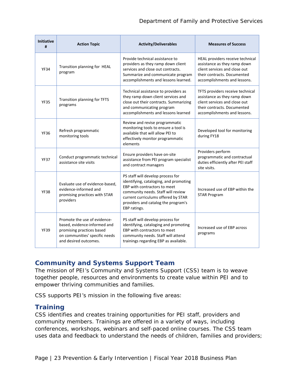| <b>Initiative</b><br># | <b>Action Topic</b>                                                                                                                                  | <b>Activity/Deliverables</b>                                                                                                                                                                                                                    | <b>Measures of Success</b>                                                                                                                                       |
|------------------------|------------------------------------------------------------------------------------------------------------------------------------------------------|-------------------------------------------------------------------------------------------------------------------------------------------------------------------------------------------------------------------------------------------------|------------------------------------------------------------------------------------------------------------------------------------------------------------------|
| <b>YF34</b>            | Transition planning for HEAL<br>program                                                                                                              | Provide technical assistance to<br>providers as they ramp down client<br>services and close out contracts.<br>Summarize and communicate program<br>accomplishments and lessons learned.                                                         | HEAL providers receive technical<br>assistance as they ramp down<br>client services and close out<br>their contracts. Documented<br>accomplishments and lessons. |
| <b>YF35</b>            | Transition planning for TFTS<br>programs                                                                                                             | Technical assistance to providers as<br>they ramp down client services and<br>close out their contracts. Summarizing<br>and communicating program<br>accomplishments and lessons learned                                                        | TFTS providers receive technical<br>assistance as they ramp down<br>client services and close out<br>their contracts. Documented<br>accomplishments and lessons. |
| <b>YF36</b>            | Refresh programmatic<br>monitoring tools                                                                                                             | Review and revise programmatic<br>monitoring tools to ensure a tool is<br>available that will allow PEI to<br>effectively monitor programmatic<br>elements                                                                                      | Developed tool for monitoring<br>during FY18                                                                                                                     |
| <b>YF37</b>            | Conduct programmatic technical<br>assistance site visits                                                                                             | Ensure providers have on-site<br>assistance from PEI program specialist<br>and contract managers                                                                                                                                                | Providers perform<br>programmatic and contractual<br>duties efficiently after PEI staff<br>site visits.                                                          |
| <b>YF38</b>            | Evaluate use of evidence-based.<br>evidence-informed and<br>promising practices with STAR<br>providers                                               | PS staff will develop process for<br>identifying, cataloging, and promoting<br>EBP with contractors to meet<br>community needs. Staff will review<br>current curriculums offered by STAR<br>providers and catalog the program's<br>EBP ratings. | Increased use of EBP within the<br><b>STAR Program</b>                                                                                                           |
| <b>YF39</b>            | Promote the use of evidence-<br>based, evidence-informed and<br>promising practices based<br>on communities' specific needs<br>and desired outcomes. | PS staff will develop process for<br>identifying, cataloging and promoting<br>EBP with contractors to meet<br>community needs. Staff will attend<br>trainings regarding EBP as available.                                                       | Increased use of EBP across<br>programs                                                                                                                          |

### <span id="page-22-0"></span>**Community and Systems Support Team**

The mission of PEI's Community and Systems Support (CSS) team is to weave together people, resources and environments to create value within PEI and to empower thriving communities and families.

CSS supports PEI's mission in the following five areas:

#### **Training**

CSS identifies and creates training opportunities for PEI staff, providers and community members. Trainings are offered in a variety of ways, including conferences, workshops, webinars and self-paced online courses. The CSS team uses data and feedback to understand the needs of children, families and providers;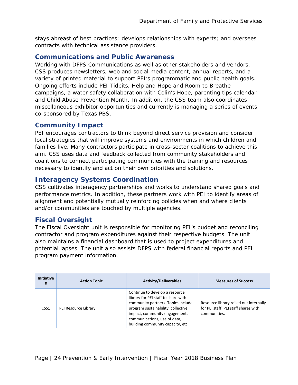stays abreast of best practices; develops relationships with experts; and oversees contracts with technical assistance providers.

#### **Communications and Public Awareness**

Working with DFPS Communications as well as other stakeholders and vendors, CSS produces newsletters, web and social media content, annual reports, and a variety of printed material to support PEI's programmatic and public health goals. Ongoing efforts include PEI Tidbits, Help and Hope and Room to Breathe campaigns, a water safety collaboration with Colin's Hope, parenting tips calendar and Child Abuse Prevention Month. In addition, the CSS team also coordinates miscellaneous exhibitor opportunities and currently is managing a series of events co-sponsored by Texas PBS.

#### **Community Impact**

PEI encourages contractors to think beyond direct service provision and consider local strategies that will improve systems and environments in which children and families live. Many contractors participate in cross-sector coalitions to achieve this aim. CSS uses data and feedback collected from community stakeholders and coalitions to connect participating communities with the training and resources necessary to identify and act on their own priorities and solutions.

### **Interagency Systems Coordination**

CSS cultivates interagency partnerships and works to understand shared goals and performance metrics. In addition, these partners work with PEI to identify areas of alignment and potentially mutually reinforcing policies when and where clients and/or communities are touched by multiple agencies.

### **Fiscal Oversight**

The Fiscal Oversight unit is responsible for monitoring PEI's budget and reconciling contractor and program expenditures against their respective budgets. The unit also maintains a financial dashboard that is used to project expenditures and potential lapses. The unit also assists DFPS with federal financial reports and PEI program payment information.

| <b>Initiative</b><br># | <b>Action Topic</b>  | <b>Activity/Deliverables</b>                                                                                                                                                                                                                            | <b>Measures of Success</b>                                                                     |
|------------------------|----------------------|---------------------------------------------------------------------------------------------------------------------------------------------------------------------------------------------------------------------------------------------------------|------------------------------------------------------------------------------------------------|
| CSS <sub>1</sub>       | PEI Resource Library | Continue to develop a resource<br>library for PEI staff to share with<br>community partners. Topics include<br>program sustainability, collective<br>impact, community engagement,<br>communications, use of data,<br>building community capacity, etc. | Resource library rolled out internally<br>for PEI staff; PEI staff shares with<br>communities. |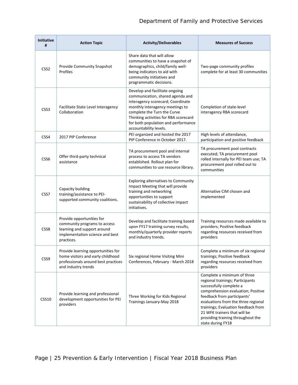| <b>Initiative</b><br># | <b>Action Topic</b>                                                                                                                       | <b>Activity/Deliverables</b>                                                                                                                                                                                                                                                        | <b>Measures of Success</b>                                                                                                                                                                                                                                                                                                              |
|------------------------|-------------------------------------------------------------------------------------------------------------------------------------------|-------------------------------------------------------------------------------------------------------------------------------------------------------------------------------------------------------------------------------------------------------------------------------------|-----------------------------------------------------------------------------------------------------------------------------------------------------------------------------------------------------------------------------------------------------------------------------------------------------------------------------------------|
| CSS <sub>2</sub>       | Provide Community Snapshot<br>Profiles                                                                                                    | Share data that will allow<br>communities to have a snapshot of<br>demographics, child/family well-<br>being indicators to aid with<br>community initiatives and<br>programmatic decisions.                                                                                         | Two-page community profiles<br>complete for at least 30 communities                                                                                                                                                                                                                                                                     |
| CSS3                   | Facilitate State Level Interagency<br>Collaboration                                                                                       | Develop and facilitate ongoing<br>communication, shared agenda and<br>interagency scorecard; Coordinate<br>monthly interagency meetings to<br>complete the Turn the Curve<br>Thinking activities for RBA scorecard<br>for both population and performance<br>accountability levels. | Completion of state-level<br>interagency RBA scorecard                                                                                                                                                                                                                                                                                  |
| CSS4                   | 2017 PIP Conference                                                                                                                       | PEI organized and hosted the 2017<br>PIP Conference in October 2017.                                                                                                                                                                                                                | High levels of attendance,<br>participation and positive feedback                                                                                                                                                                                                                                                                       |
| CSS6                   | Offer third-party technical<br>assistance                                                                                                 | TA procurement pool and internal<br>process to access TA vendors<br>established. Rollout plan for<br>communities to use resource library.                                                                                                                                           | TA procurement pool contracts<br>executed; TA procurement pool<br>rolled internally for PEI team use; TA<br>procurement pool rolled out to<br>communities                                                                                                                                                                               |
| CSS7                   | Capacity building<br>training/assistance to PEI-<br>supported community coalitions.                                                       | <b>Exploring alternatives to Community</b><br>Impact Meeting that will provide<br>training and networking<br>opportunities to support<br>sustainability of collective impact<br>initiatives.                                                                                        | Alternative CIM chosen and<br>implemented                                                                                                                                                                                                                                                                                               |
| CSS8                   | Provide opportunities for<br>community programs to access<br>learning and support around<br>implementation science and best<br>practices. | Develop and facilitate training based<br>upon FY17 training survey results,<br>monthly/quarterly provider reports<br>and industry trends.                                                                                                                                           | Training resources made available to<br>providers; Positive feedback<br>regarding resources received from<br>providers                                                                                                                                                                                                                  |
| CSS9                   | Provide learning opportunities for<br>home visitors and early childhood<br>professionals around best practices<br>and industry trends     | Six regional Home Visiting Mini<br>Conferences, February - March 2018                                                                                                                                                                                                               | Complete a minimum of six regional<br>trainings; Positive feedback<br>regarding resources received from<br>providers                                                                                                                                                                                                                    |
| <b>CSS10</b>           | Provide learning and professional<br>development opportunities for PEI<br>providers                                                       | Three Working for Kids Regional<br>Trainings January-May 2018                                                                                                                                                                                                                       | Complete a minimum of three<br>regional trainings; Participants<br>successfully complete a<br>comprehension evaluation; Positive<br>feedback from participants'<br>evaluations from the three regional<br>trainings; Evaluation feedback from<br>21 WFK trainers that will be<br>providing training throughout the<br>state during FY18 |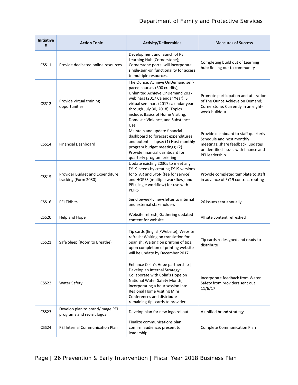| <b>Initiative</b><br># | <b>Action Topic</b>                                           | <b>Activity/Deliverables</b>                                                                                                                                                                                                                                                                       | <b>Measures of Success</b>                                                                                                                                         |
|------------------------|---------------------------------------------------------------|----------------------------------------------------------------------------------------------------------------------------------------------------------------------------------------------------------------------------------------------------------------------------------------------------|--------------------------------------------------------------------------------------------------------------------------------------------------------------------|
| <b>CSS11</b>           | Provide dedicated online resources                            | Development and launch of PEI<br>Learning Hub (Cornerstone);<br>Cornerstone portal will incorporate<br>single-sign-on functionality for access<br>to multiple resources.                                                                                                                           | Completing build out of Learning<br>hub; Rolling out to community                                                                                                  |
| <b>CSS12</b>           | Provide virtual training<br>opportunities                     | The Ounce: Achieve OnDemand self-<br>paced courses (300 credits);<br>Unlimited Achieve OnDemand 2017<br>webinars (2017 Calendar Year); 3<br>virtual seminars (2017 calendar year<br>through July 30, 2018). Topics<br>include: Basics of Home Visiting,<br>Domestic Violence, and Substance<br>Use | Promote participation and utilization<br>of The Ounce Achieve on Demand;<br>Cornerstone: Currently in an eight-<br>week buildout.                                  |
| <b>CSS14</b>           | <b>Financial Dashboard</b>                                    | Maintain and update financial<br>dashboard to forecast expenditures<br>and potential lapse: (1) Host monthly<br>program budget meetings; (2)<br>Provide financial dashboard for<br>quarterly program briefing                                                                                      | Provide dashboard to staff quarterly.<br>Schedule and host monthly<br>meetings; share feedback, updates<br>or identified issues with finance and<br>PEI leadership |
| <b>CSS15</b>           | Provider Budget and Expenditure<br>tracking (Form 2030)       | Update existing 2030s to meet any<br>FY19 needs by creating FY19 versions<br>for STAR and SYSN (fee for service)<br>and HOPES (multiple workflow) and<br>PEI (single workflow) for use with<br><b>PEIRS</b>                                                                                        | Provide completed template to staff<br>in advance of FY19 contract routing                                                                                         |
| <b>CSS16</b>           | <b>PEI Tidbits</b>                                            | Send biweekly newsletter to internal<br>and external stakeholders                                                                                                                                                                                                                                  | 26 issues sent annually                                                                                                                                            |
| <b>CSS20</b>           | Help and Hope                                                 | Website refresh; Gathering updated<br>content for website.                                                                                                                                                                                                                                         | All site content refreshed                                                                                                                                         |
| CSS21                  | Safe Sleep (Room to Breathe)                                  | Tip cards (English/Website); Website<br>refresh; Waiting on translation for<br>Spanish; Waiting on printing of tips;<br>upon completion of printing website<br>will be update by December 2017                                                                                                     | Tip cards redesigned and ready to<br>distribute                                                                                                                    |
| CSS22                  | <b>Water Safety</b>                                           | Enhance Colin's Hope partnership  <br>Develop an Internal Strategy;<br>Collaborate with Colin's Hope on<br>National Water Safety Month,<br>incorporating a hour session into<br>Regional Home Visiting Mini<br>Conferences and distribute<br>remaining tips cards to providers                     | Incorporate feedback from Water<br>Safety from providers sent out<br>11/6/17                                                                                       |
| CSS <sub>23</sub>      | Develop plan to brand/image PEI<br>programs and revisit logos | Develop plan for new logo rollout                                                                                                                                                                                                                                                                  | A unified brand strategy                                                                                                                                           |
| CSS24                  | PEI Internal Communication Plan                               | Finalize communications plan;<br>confirm audience; present to<br>leadership                                                                                                                                                                                                                        | <b>Complete Communication Plan</b>                                                                                                                                 |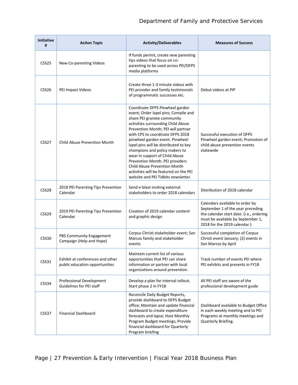| <b>Initiative</b><br># | <b>Action Topic</b>                                                | <b>Activity/Deliverables</b>                                                                                                                                                                                                                                                                                                                                                                                                                                                                                               | <b>Measures of Success</b>                                                                                                                                                            |
|------------------------|--------------------------------------------------------------------|----------------------------------------------------------------------------------------------------------------------------------------------------------------------------------------------------------------------------------------------------------------------------------------------------------------------------------------------------------------------------------------------------------------------------------------------------------------------------------------------------------------------------|---------------------------------------------------------------------------------------------------------------------------------------------------------------------------------------|
| CSS <sub>25</sub>      | New Co-parenting Videos                                            | If funds permit, create new parenting<br>tips videos that focus on co-<br>parenting to be used across PEI/DFPS<br>media platforms                                                                                                                                                                                                                                                                                                                                                                                          |                                                                                                                                                                                       |
| CSS26                  | PEI Impact Videos                                                  | Create three 1-3 minute videos with<br>PEI provider and family testimonials<br>of programmatic successes etc.                                                                                                                                                                                                                                                                                                                                                                                                              | Debut videos at PIP                                                                                                                                                                   |
| CSS <sub>27</sub>      | Child Abuse Prevention Month                                       | Coordinate DFPS Pinwheel garden<br>event; Order lapel pins; Compile and<br>share PEI grantee community<br>activities surrounding Child Abuse<br>Prevention Month; PEI will partner<br>with CPS to coordinate DFPS 2018<br>pinwheel garden event. Pinwheel<br>lapel pins will be distributed to key<br>champions and policy makers to<br>wear in support of Child Abuse<br>Prevention Month. PEI providers<br>Child Abuse Prevention Month<br>activities will be featured on the PEI<br>website and PEI Tidbits newsletter. | Successful execution of DFPS<br>Pinwheel garden event; Promotion of<br>child abuse prevention events<br>statewide                                                                     |
| CSS28                  | 2018 PEI Parenting Tips Prevention<br>Calendar                     | Send e-blast inviting external<br>stakeholders to order 2018 calendars                                                                                                                                                                                                                                                                                                                                                                                                                                                     | Distribution of 2018 calendar                                                                                                                                                         |
| CSS29                  | 2019 PEI Parenting Tips Prevention<br>Calendar                     | Creation of 2019 calendar content<br>and graphic design                                                                                                                                                                                                                                                                                                                                                                                                                                                                    | Calendars available to order by<br>September 1 of the year preceding<br>the calendar start date. (i.e., ordering<br>must be available by September 1,<br>2018 for the 2019 calendar.) |
| <b>CSS30</b>           | PBS Community Engagement<br>Campaign (Help and Hope)               | Corpus Christi stakeholder event; San<br>Marcos family and stakeholder<br>events                                                                                                                                                                                                                                                                                                                                                                                                                                           | Successful completion of Corpus<br>Christi event January; (2) events in<br>San Marcos by April                                                                                        |
| <b>CSS31</b>           | Exhibit at conferences and other<br>public education opportunities | Maintain current list of various<br>opportunities that PEI can share<br>information or partner with local<br>organizations around prevention.                                                                                                                                                                                                                                                                                                                                                                              | Track number of events PEI where<br>PEI exhibits and presents in FY18                                                                                                                 |
| CSS34                  | Professional Development<br><b>Guidelines for PEI staff</b>        | Develop a plan for internal rollout.<br>Start phase 2 in FY18                                                                                                                                                                                                                                                                                                                                                                                                                                                              | All PEI staff are aware of the<br>professional development guide                                                                                                                      |
| <b>CSS37</b>           | <b>Financial Dashboard</b>                                         | Reconcile Daily Budget Reports,<br>provide dashboard to DFPS Budget<br>office; Maintain and update financial<br>dashboard to create expenditure<br>forecasts and lapse; Host Monthly<br>Program Budget meetings; Provide<br>financial dashboard for Quarterly<br>Program briefing                                                                                                                                                                                                                                          | Dashboard available to Budget Office<br>in each weekly meeting and to PEI<br>Programs at monthly meetings and<br>Quarterly Briefing.                                                  |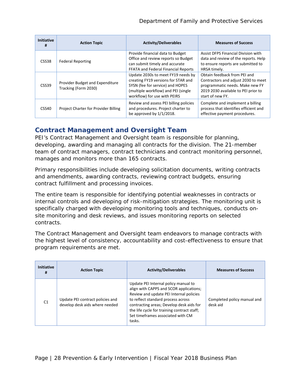| <b>Initiative</b><br># | <b>Action Topic</b>                                     | <b>Activity/Deliverables</b>                                                                                                                                                         | <b>Measures of Success</b>                                                                                                                                        |
|------------------------|---------------------------------------------------------|--------------------------------------------------------------------------------------------------------------------------------------------------------------------------------------|-------------------------------------------------------------------------------------------------------------------------------------------------------------------|
| CSS38                  | <b>Federal Reporting</b>                                | Provide financial data to Budget<br>Office and review reports so Budget<br>can submit timely and accurate<br><b>FFATA and Federal Financial Reports</b>                              | Assist DFPS Financial Division with<br>data and review of the reports. Help<br>to ensure reports are submitted to<br>HRSA timely.                                 |
| <b>CSS39</b>           | Provider Budget and Expenditure<br>Tracking (Form 2030) | Update 2030s to meet FY19 needs by<br>creating FY19 versions for STAR and<br>SYSN (fee for service) and HOPES<br>(multiple workflow) and PEI (single<br>workflow) for use with PEIRS | Obtain feedback from PEI and<br>Contractors and adjust 2030 to meet<br>programmatic needs. Make new FY<br>2019 2030 available to PEI prior to<br>start of new FY. |
| CSS40                  | Project Charter for Provider Billing                    | Review and assess PEI billing policies<br>and procedures. Project charter to<br>be approved by $1/1/2018$ .                                                                          | Complete and implement a billing<br>process that identifies efficient and<br>effective payment procedures.                                                        |

## <span id="page-27-0"></span>**Contract Management and Oversight Team**

PEI's Contract Management and Oversight team is responsible for planning, developing, awarding and managing all contracts for the division. The 21-member team of contract managers, contract technicians and contract monitoring personnel, manages and monitors more than 165 contracts.

Primary responsibilities include developing solicitation documents, writing contracts and amendments, awarding contracts, reviewing contract budgets, ensuring contract fulfillment and processing invoices.

The entire team is responsible for identifying potential weaknesses in contracts or internal controls and developing of risk-mitigation strategies. The monitoring unit is specifically charged with developing monitoring tools and techniques, conducts onsite monitoring and desk reviews, and issues monitoring reports on selected contracts.

The Contract Management and Oversight team endeavors to manage contracts with the highest level of consistency, accountability and cost-effectiveness to ensure that program requirements are met.

| <b>Initiative</b><br># | <b>Action Topic</b>                                                | <b>Activity/Deliverables</b>                                                                                                                                                                                                                                                                               | <b>Measures of Success</b>              |
|------------------------|--------------------------------------------------------------------|------------------------------------------------------------------------------------------------------------------------------------------------------------------------------------------------------------------------------------------------------------------------------------------------------------|-----------------------------------------|
| C <sub>1</sub>         | Update PEI contract policies and<br>develop desk aids where needed | Update PEI Internal policy manual to<br>align with CAPPS and SCOR applications;<br>Review and update PEI Internal policies<br>to reflect standard process across<br>contracting areas; Develop desk aids for<br>the life cycle for training contract staff;<br>Set timeframes associated with CM<br>tasks. | Completed policy manual and<br>desk aid |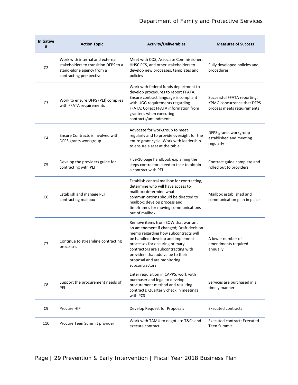| <b>Initiative</b><br># | <b>Action Topic</b>                                                                                                             | <b>Activity/Deliverables</b>                                                                                                                                                                                                                                                                                              | <b>Measures of Success</b>                                                              |
|------------------------|---------------------------------------------------------------------------------------------------------------------------------|---------------------------------------------------------------------------------------------------------------------------------------------------------------------------------------------------------------------------------------------------------------------------------------------------------------------------|-----------------------------------------------------------------------------------------|
| C <sub>2</sub>         | Work with internal and external<br>stakeholders to transition DFPS to a<br>stand-alone agency from a<br>contracting perspective | Meet with COS, Associate Commissioner,<br>HHSC PCS, and other stakeholders to<br>develop new processes, templates and<br>policies                                                                                                                                                                                         | Fully developed policies and<br>procedures                                              |
| C <sub>3</sub>         | Work to ensure DFPS (PEI) complies<br>with FFATA requirements                                                                   | Work with federal funds department to<br>develop procedures to report FFATA;<br>Ensure contract language is compliant<br>with UGG requirements regarding<br>FFATA: Collect FFATA information from<br>grantees when executing<br>contracts/amendments                                                                      | Successful FFATA reporting;<br>KPMG concurrence that DFPS<br>process meets requirements |
| C <sub>4</sub>         | Ensure Contracts is involved with<br>DFPS grants workgroup                                                                      | Advocate for workgroup to meet<br>regularly and to provide oversight for the<br>entire grant cycle. Work with leadership<br>to ensure a seat at the table                                                                                                                                                                 | DFPS grants workgroup<br>established and meeting<br>regularly                           |
| C <sub>5</sub>         | Develop the providers guide for<br>contracting with PEI                                                                         | Five-10 page handbook explaining the<br>steps contractors need to take to obtain<br>a contract with PEI                                                                                                                                                                                                                   | Contract guide complete and<br>rolled out to providers                                  |
| C <sub>6</sub>         | Establish and manage PEI<br>contracting mailbox                                                                                 | Establish central mailbox for contracting;<br>determine who will have access to<br>mailbox; determine what<br>communications should be directed to<br>mailbox; develop process and<br>timeframes for moving communications<br>out of mailbox                                                                              | Mailbox established and<br>communication plan in place                                  |
| C <sub>7</sub>         | Continue to streamline contracting<br>processes                                                                                 | Remove items from SOW that warrant<br>an amendment if changed; Draft decision<br>memo regarding how subcontracts will<br>be handled; develop and implement<br>processes for ensuring primary<br>contractors are subcontracting with<br>providers that add value to their<br>proposal and are monitoring<br>subcontractors | A lower number of<br>amendments required<br>annually                                    |
| C8                     | Support the procurement needs of<br>PEI                                                                                         | Enter requisition in CAPPS; work with<br>purchaser and legal to develop<br>procurement method and resulting<br>contracts; Quarterly check in meetings<br>with PCS                                                                                                                                                         | Services are purchased in a<br>timely manner                                            |
| C <sub>9</sub>         | Procure HIP                                                                                                                     | Develop Request for Proposals                                                                                                                                                                                                                                                                                             | <b>Executed contracts</b>                                                               |
| C10                    | Procure Teen Summit provider                                                                                                    | Work with TAMU to negotiate T&Cs and<br>execute contract                                                                                                                                                                                                                                                                  | <b>Executed contract; Executed</b><br><b>Teen Summit</b>                                |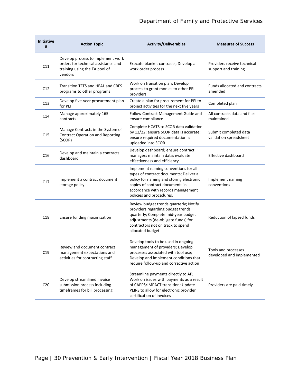| <b>Initiative</b><br># | <b>Action Topic</b>                                                                                                  | <b>Activity/Deliverables</b>                                                                                                                                                                                                    | <b>Measures of Success</b>                          |
|------------------------|----------------------------------------------------------------------------------------------------------------------|---------------------------------------------------------------------------------------------------------------------------------------------------------------------------------------------------------------------------------|-----------------------------------------------------|
| C11                    | Develop process to implement work<br>orders for technical assistance and<br>training using the TA pool of<br>vendors | Execute blanket contracts; Develop a<br>work order process                                                                                                                                                                      | Providers receive technical<br>support and training |
| C12                    | Transition TFTS and HEAL and CBFS<br>programs to other programs                                                      | Work on transition plan; Develop<br>process to grant monies to other PEI<br>providers                                                                                                                                           | Funds allocated and contracts<br>amended            |
| C13                    | Develop five-year procurement plan<br>for PEI                                                                        | Create a plan for procurement for PEI to<br>project activities for the next five years                                                                                                                                          | Completed plan                                      |
| C14                    | Manage approximately 165<br>contracts                                                                                | Follow Contract Management Guide and<br>ensure compliance                                                                                                                                                                       | All contracts data and files<br>maintained          |
| C15                    | Manage Contracts in the System of<br><b>Contract Operation and Reporting</b><br>(SCOR)                               | Complete HCATS to SCOR data validation<br>by 12/22; ensure SCOR data is accurate;<br>ensure required documentation is<br>uploaded into SCOR                                                                                     | Submit completed data<br>validation spreadsheet     |
| C <sub>16</sub>        | Develop and maintain a contracts<br>dashboard                                                                        | Develop dashboard; ensure contract<br>managers maintain data; evaluate<br>effectiveness and efficiency                                                                                                                          | Effective dashboard                                 |
| C17                    | Implement a contract document<br>storage policy                                                                      | Implement naming conventions for all<br>types of contract documents; Deliver a<br>policy for naming and storing electronic<br>copies of contract documents in<br>accordance with records management<br>policies and procedures. | Implement naming<br>conventions                     |
| C18                    | Ensure funding maximization                                                                                          | Review budget trends quarterly; Notify<br>providers regarding budget trends<br>quarterly; Complete mid-year budget<br>adjustments (de-obligate funds) for<br>contractors not on track to spend<br>allocated budget              | Reduction of lapsed funds                           |
| C19                    | Review and document contract<br>management expectations and<br>activities for contracting staff                      | Develop tools to be used in ongoing<br>management of providers; Develop<br>processes associated with tool use;<br>Develop and implement conditions that<br>require follow-up and corrective action                              | Tools and processes<br>developed and implemented    |
| C <sub>20</sub>        | Develop streamlined invoice<br>submission process including<br>timeframes for bill processing                        | Streamline payments directly to AP;<br>Work on issues with payments as a result<br>of CAPPS/IMPACT transition; Update<br>PEIRS to allow for electronic provider<br>certification of invoices                                    | Providers are paid timely.                          |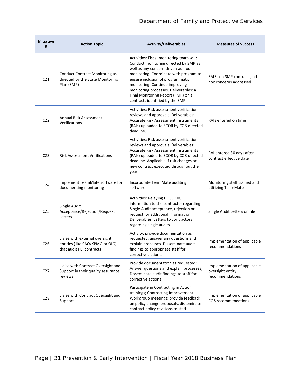| <b>Initiative</b><br># | <b>Action Topic</b>                                                                           | <b>Activity/Deliverables</b>                                                                                                                                                                                                                                                                                                                                | <b>Measures of Success</b>                                          |
|------------------------|-----------------------------------------------------------------------------------------------|-------------------------------------------------------------------------------------------------------------------------------------------------------------------------------------------------------------------------------------------------------------------------------------------------------------------------------------------------------------|---------------------------------------------------------------------|
| C <sub>21</sub>        | <b>Conduct Contract Monitoring as</b><br>directed by the State Monitoring<br>Plan (SMP)       | Activities: Fiscal monitoring team will:<br>Conduct monitoring directed by SMP as<br>well as any concern-driven ad hoc<br>monitoring; Coordinate with program to<br>ensure inclusion of programmatic<br>monitoring; Continue improving<br>monitoring processes. Deliverables: a<br>Final Monitoring Report (FMR) on all<br>contracts identified by the SMP. | FMRs on SMP contracts; ad<br>hoc concerns addressed                 |
| C <sub>22</sub>        | <b>Annual Risk Assessment</b><br>Verifications                                                | Activities: Risk assessment verification<br>reviews and approvals. Deliverables:<br><b>Accurate Risk Assessment Instruments</b><br>(RAIs) uploaded to SCOR by COS-directed<br>deadline.                                                                                                                                                                     | RAIs entered on time                                                |
| C <sub>23</sub>        | <b>Risk Assessment Verifications</b>                                                          | Activities: Risk assessment verification<br>reviews and approvals. Deliverables:<br><b>Accurate Risk Assessment Instruments</b><br>(RAIs) uploaded to SCOR by COS-directed<br>deadline. Applicable if risk changes or<br>new contract executed throughout the<br>year.                                                                                      | RAI entered 30 days after<br>contract effective date                |
| C <sub>24</sub>        | Implement TeamMate software for<br>documenting monitoring                                     | Incorporate TeamMate auditing<br>software                                                                                                                                                                                                                                                                                                                   | Monitoring staff trained and<br>utlilizing TeamMate                 |
| C <sub>25</sub>        | Single Audit<br>Acceptance/Rejection/Request<br>Letters                                       | <b>Activities: Relaying HHSC OIG</b><br>information to the contractor regarding<br>Single Audit acceptance, rejection or<br>request for additional information.<br>Deliverables: Letters to contractors<br>regarding single audits.                                                                                                                         | Single Audit Letters on file                                        |
| C <sub>26</sub>        | Liaise with external oversight<br>entities (like SAO/KPMG or OIG)<br>that audit PEI contracts | Activity: provide documentation as<br>requested, answer any questions and<br>explain processes. Disseminate audit<br>findings to appropriate staff for<br>corrective actions.                                                                                                                                                                               | Implementation of applicable<br>recommendations                     |
| C <sub>27</sub>        | Liaise with Contract Oversight and<br>Support in their quality assurance<br>reviews           | Provide documentation as requested;<br>Answer questions and explain processes;<br>Disseminate audit findings to staff for<br>corrective actions                                                                                                                                                                                                             | Implementation of applicable<br>oversight entity<br>recommendations |
| C <sub>28</sub>        | Liaise with Contract Oversight and<br>Support                                                 | Participate in Contracting in Action<br>trainings; Contracting Improvement<br>Workgroup meetings; provide feedback<br>on policy change proposals, disseminate<br>contract policy revisions to staff                                                                                                                                                         | Implementation of applicable<br>COS recommendations                 |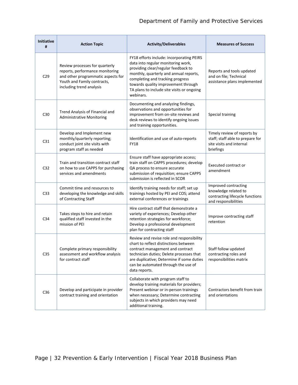| Initiative<br># | <b>Action Topic</b>                                                                                                                                                | <b>Activity/Deliverables</b>                                                                                                                                                                                                                                                                           | <b>Measures of Success</b>                                                                               |
|-----------------|--------------------------------------------------------------------------------------------------------------------------------------------------------------------|--------------------------------------------------------------------------------------------------------------------------------------------------------------------------------------------------------------------------------------------------------------------------------------------------------|----------------------------------------------------------------------------------------------------------|
| C <sub>29</sub> | Review processes for quarterly<br>reports, performance monitoring<br>and other programmatic aspects for<br>Youth and Family contracts,<br>including trend analysis | FY18 efforts include: incorporating PEIRS<br>data into regular monitoring work,<br>providing clear/regular feedback to<br>monthly, quarterly and annual reports,<br>completing and tracking progress<br>towards quality improvement through<br>TA plans to include site visits or ongoing<br>webinars. | Reports and tools updated<br>and on file; Technical<br>assistance plans implemented                      |
| C30             | Trend Analysis of Financial and<br><b>Administrative Monitoring</b>                                                                                                | Documenting and analyzing findings,<br>observations and opportunities for<br>improvement from on-site reviews and<br>desk reviews to identify ongoing issues<br>and training opportunities.                                                                                                            | Special training                                                                                         |
| C31             | Develop and Implement new<br>monthly/quarterly reporting;<br>conduct joint site visits with<br>program staff as needed                                             | Identification and use of auto-reports<br><b>FY18</b>                                                                                                                                                                                                                                                  | Timely review of reports by<br>staff; staff able to prepare for<br>site visits and internal<br>briefings |
| C <sub>32</sub> | Train and transition contract staff<br>on how to use CAPPS for purchasing<br>services and amendments                                                               | Ensure staff have appropriate access;<br>train staff on CAPPS procedures; develop<br>QA process to ensure accurate<br>submission of requisition; ensure CAPPS<br>submission is reflected in SCOR                                                                                                       | <b>Executed contract or</b><br>amendment                                                                 |
| C <sub>33</sub> | Commit time and resources to<br>developing the knowledge and skills<br>of Contracting Staff                                                                        | Identify training needs for staff; set up<br>trainings hosted by PEI and COS; attend<br>external conferences or trainings                                                                                                                                                                              | Improved contracting<br>knowledge related to<br>contracting lifecycle functions<br>and responsibilities  |
| C34             | Takes steps to hire and retain<br>qualified staff invested in the<br>mission of PEI                                                                                | Hire contract staff that demonstrate a<br>variety of experiences; Develop other<br>retention strategies for workforce;<br>Develop a professional development<br>plan for contracting staff                                                                                                             | Improve contracting staff<br>retention                                                                   |
| C35             | Complete primary responsibility<br>assessment and workflow analysis<br>for contract staff                                                                          | Review and revise role and responsibility<br>chart to reflect distinctions between<br>contract management and contract<br>technician duties; Delete processes that<br>are duplicative; Determine if some duties<br>can be automated through the use of<br>data reports.                                | Staff follow updated<br>contracting roles and<br>responsibilities matrix                                 |
| C36             | Develop and participate in provider<br>contract training and orientation                                                                                           | Collaborate with program staff to<br>develop training materials for providers;<br>Present webinar or in-person trainings<br>when necessary; Determine contracting<br>subjects in which providers may need<br>additional training.                                                                      | Contractors benefit from train<br>and orientations                                                       |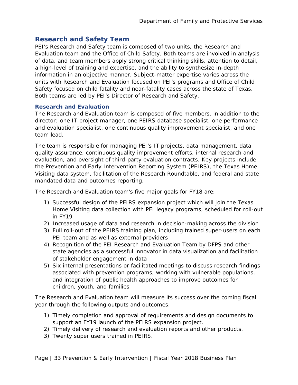### <span id="page-32-0"></span>**Research and Safety Team**

PEI's Research and Safety team is composed of two units, the Research and Evaluation team and the Office of Child Safety. Both teams are involved in analysis of data, and team members apply strong critical thinking skills, attention to detail, a high-level of training and expertise, and the ability to synthesize in-depth information in an objective manner. Subject-matter expertise varies across the units with Research and Evaluation focused on PEI's programs and Office of Child Safety focused on child fatality and near-fatality cases across the state of Texas. Both teams are led by PEI's Director of Research and Safety.

#### <span id="page-32-1"></span>**Research and Evaluation**

The Research and Evaluation team is composed of five members, in addition to the director: one IT project manager, one PEIRS database specialist, one performance and evaluation specialist, one continuous quality improvement specialist, and one team lead.

The team is responsible for managing PEI's IT projects, data management, data quality assurance, continuous quality improvement efforts, internal research and evaluation, and oversight of third-party evaluation contracts. Key projects include the Prevention and Early Intervention Reporting System (PEIRS), the Texas Home Visiting data system, facilitation of the Research Roundtable, and federal and state mandated data and outcomes reporting.

The Research and Evaluation team's five major goals for FY18 are:

- 1) Successful design of the PEIRS expansion project which will join the Texas Home Visiting data collection with PEI legacy programs, scheduled for roll-out in FY19
- 2) Increased usage of data and research in decision-making across the division
- 3) Full roll-out of the PEIRS training plan, including trained super-users on each PEI team and as well as external providers
- 4) Recognition of the PEI Research and Evaluation Team by DFPS and other state agencies as a successful innovator in data visualization and facilitation of stakeholder engagement in data
- 5) Six internal presentations or facilitated meetings to discuss research findings associated with prevention programs, working with vulnerable populations, and integration of public health approaches to improve outcomes for children, youth, and families

The Research and Evaluation team will measure its success over the coming fiscal year through the following outputs and outcomes:

- 1) Timely completion and approval of requirements and design documents to support an FY19 launch of the PEIRS expansion project.
- 2) Timely delivery of research and evaluation reports and other products.
- 3) Twenty super users trained in PEIRS.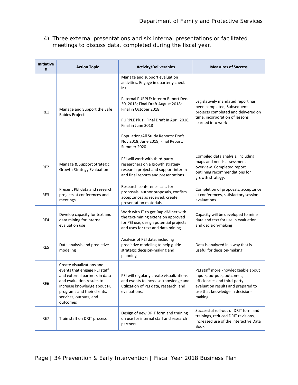4) Three external presentations and six internal presentations or facilitated meetings to discuss data, completed during the fiscal year.

| <b>Initiative</b><br># | <b>Action Topic</b>                                                                                                                                                                                                          | <b>Activity/Deliverables</b>                                                                                                                             | <b>Measures of Success</b>                                                                                                                                                           |
|------------------------|------------------------------------------------------------------------------------------------------------------------------------------------------------------------------------------------------------------------------|----------------------------------------------------------------------------------------------------------------------------------------------------------|--------------------------------------------------------------------------------------------------------------------------------------------------------------------------------------|
|                        |                                                                                                                                                                                                                              | Manage and support evaluation<br>activities. Engage in quarterly check-<br>ins.                                                                          |                                                                                                                                                                                      |
| RE1                    | Manage and Support the Safe                                                                                                                                                                                                  | Paternal PURPLE: Interim Report Dec.<br>30, 2018; Final Draft August 2018;<br>Final in October 2018                                                      | Legislatively mandated report has<br>been completed, Subsequent<br>projects completed and delivered on                                                                               |
|                        | <b>Babies Project</b>                                                                                                                                                                                                        | PURPLE Plus: Final Draft in April 2018,<br>Final in June 2018                                                                                            | time, incorporation of lessons<br>learned into work                                                                                                                                  |
|                        |                                                                                                                                                                                                                              | Population/All Study Reports: Draft<br>Nov 2018, June 2019, Final Report,<br>Summer 2020                                                                 |                                                                                                                                                                                      |
| RE <sub>2</sub>        | Manage & Support Strategic<br>Growth Strategy Evaluation                                                                                                                                                                     | PEI will work with third-party<br>researchers on a growth strategy<br>research project and support interim<br>and final reports and presentations        | Compiled data analysis, including<br>maps and needs assessment<br>overview. Completed report<br>outlining recommendations for<br>growth strategy.                                    |
| RE3                    | Present PEI data and research<br>projects at conferences and<br>meetings                                                                                                                                                     | Research conference calls for<br>proposals, author proposals, confirm<br>acceptances as received, create<br>presentation materials                       | Completion of proposals, acceptance<br>at conferences, satisfactory session<br>evaluations                                                                                           |
| RE4                    | Develop capacity for text and<br>data mining for internal<br>evaluation use                                                                                                                                                  | Work with IT to get RapidMiner with<br>the text-mining extension approved<br>for PEI use, design potential projects<br>and uses for text and data mining | Capacity will be developed to mine<br>data and text for use in evaluation<br>and decision-making                                                                                     |
| RE5                    | Data analysis and predictive<br>modeling                                                                                                                                                                                     | Analysis of PEI data, including<br>predictive modeling to help guide<br>strategic decision-making and<br>planning                                        | Data is analyzed in a way that is<br>useful for decision-making.                                                                                                                     |
| RE6                    | Create visualizations and<br>events that engage PEI staff<br>and external partners in data<br>and evaluation results to<br>increase knowledge about PEI<br>programs and their clients,<br>services, outputs, and<br>outcomes | PEI will regularly create visualizations<br>and events to increase knowledge and<br>utilization of PEI data, research, and<br>evaluations.               | PEI staff more knowledgeable about<br>inputs, outputs, outcomes,<br>efficiencies and third-party<br>evaluation results and prepared to<br>use that knowledge in decision-<br>making. |
| RE7                    | Train staff on DRIT process                                                                                                                                                                                                  | Design of new DRIT form and training<br>on use for internal staff and research<br>partners                                                               | Successful roll-out of DRIT form and<br>trainings, reduced DRIT revisions,<br>increased use of the interactive Data<br>Book                                                          |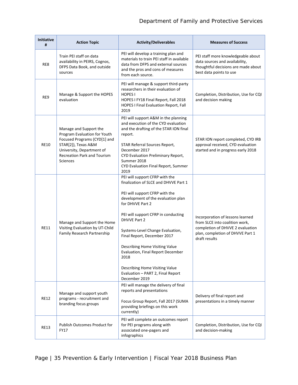| <b>Initiative</b><br># | <b>Action Topic</b>                                                                                                                                                                                 | <b>Activity/Deliverables</b>                                                                                                                                                                                                                                                                                                                                                                                                                                                | <b>Measures of Success</b>                                                                                                                                  |
|------------------------|-----------------------------------------------------------------------------------------------------------------------------------------------------------------------------------------------------|-----------------------------------------------------------------------------------------------------------------------------------------------------------------------------------------------------------------------------------------------------------------------------------------------------------------------------------------------------------------------------------------------------------------------------------------------------------------------------|-------------------------------------------------------------------------------------------------------------------------------------------------------------|
| RE8                    | Train PEI staff on data<br>availability in PEIRS, Cognos,<br>DFPS Data Book, and outside<br>sources                                                                                                 | PEI will develop a training plan and<br>materials to train PEI staff in available<br>data from DFPS and external sources<br>and the pros and cons of measures<br>from each source.                                                                                                                                                                                                                                                                                          | PEI staff more knowledgeable about<br>data sources and availability,<br>thoughtful decisions are made about<br>best data points to use                      |
| RE9                    | Manage & Support the HOPES<br>evaluation                                                                                                                                                            | PEI will manage & support third-party<br>researchers in their evaluation of<br><b>HOPES I</b><br>HOPES I FY18 Final Report, Fall 2018<br>HOPES I Final Evaluation Report, Fall<br>2019                                                                                                                                                                                                                                                                                      | Completion, Distribution, Use for CQI<br>and decision making                                                                                                |
| <b>RE10</b>            | Manage and Support the<br>Program Evaluation for Youth<br>Focused Programs (CYD[1] and<br>STAR[2]), Texas A&M<br>University, Department of<br><b>Recreation Park and Tourism</b><br><b>Sciences</b> | PEI will support A&M in the planning<br>and execution of the CYD evaluation<br>and the drafting of the STAR ION final<br>report.<br>STAR Referral Sources Report,<br>December 2017<br>CYD Evaluation Preliminary Report,<br>Summer 2018<br>CYD Evaluation Final Report, Summer<br>2019                                                                                                                                                                                      | STAR ION report completed, CYD IRB<br>approval received, CYD evaluation<br>started and in progress early 2018                                               |
| <b>RE11</b>            | Manage and Support the Home<br>Visiting Evaluation by UT-Child<br>Family Research Partnership                                                                                                       | PEI will support CFRP with the<br>finalization of SLCE and DHVVE Part 1<br>PEI will support CFRP with the<br>development of the evaluation plan<br>for DHVVE Part 2<br>PEI will support CFRP in conducting<br><b>DHVVE Part 2</b><br>Systems-Level Change Evaluation,<br>Final Report, December 2017<br>Describing Home Visiting Value<br>Evaluation, Final Report December<br>2018<br>Describing Home Visiting Value<br>Evaluation - PART 2, Final Report<br>December 2019 | Incorporation of lessons learned<br>from SLCE into coalition work,<br>completion of DHVVE 2 evaluation<br>plan, completion of DHVVE Part 1<br>draft results |
| <b>RE12</b>            | Manage and support youth<br>programs - recruitment and<br>branding focus groups                                                                                                                     | PEI will manage the delivery of final<br>reports and presentations<br>Focus Group Report, Fall 2017 (SUMA<br>providing briefings on this work<br>currently)                                                                                                                                                                                                                                                                                                                 | Delivery of final report and<br>presentations in a timely manner                                                                                            |
| <b>RE13</b>            | Publish Outcomes Product for<br><b>FY17</b>                                                                                                                                                         | PEI will complete an outcomes report<br>for PEI programs along with<br>associated one-pagers and<br>infographics                                                                                                                                                                                                                                                                                                                                                            | Completion, Distribution, Use for CQI<br>and decision-making                                                                                                |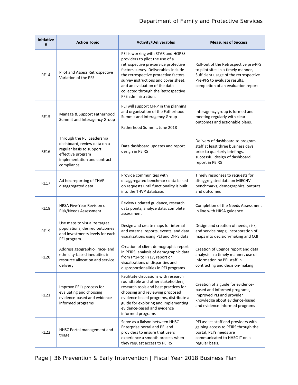| Initiative<br># | <b>Action Topic</b>                                                                                                                                     | <b>Activity/Deliverables</b>                                                                                                                                                                                                                                                                                                         | <b>Measures of Success</b>                                                                                                                                                                 |
|-----------------|---------------------------------------------------------------------------------------------------------------------------------------------------------|--------------------------------------------------------------------------------------------------------------------------------------------------------------------------------------------------------------------------------------------------------------------------------------------------------------------------------------|--------------------------------------------------------------------------------------------------------------------------------------------------------------------------------------------|
| <b>RE14</b>     | Pilot and Assess Retrospective<br>Variation of the PFS                                                                                                  | PEI is working with STAR and HOPES<br>providers to pilot the use of a<br>retrospective pre-service protective<br>factors survey. Deliverables include<br>the retrospective protective factors<br>survey instructions and cover sheet,<br>and an evaluation of the data<br>collected through the Retrospective<br>PFS administration. | Roll-out of the Retrospective pre-PFS<br>to pilot sites in a timely manner,<br>Sufficient usage of the retrospective<br>Pre-PFS to evaluate results,<br>completion of an evaluation report |
| <b>RE15</b>     | Manage & Support Fatherhood<br>Summit and Interagency Group                                                                                             | PEI will support CFRP in the planning<br>and organization of the Fatherhood<br>Summit and Interagency Group<br>Fatherhood Summit, June 2018                                                                                                                                                                                          | Interagency group is formed and<br>meeting regularly with clear<br>outcomes and actionable plans.                                                                                          |
| <b>RE16</b>     | Through the PEI Leadership<br>dashboard, review data on a<br>regular basis to support<br>effective program<br>implementation and contract<br>compliance | Data dashboard updates and report<br>design in PEIRS                                                                                                                                                                                                                                                                                 | Delivery of dashboard to program<br>staff at least three business days<br>prior to quarterly briefings,<br>successful design of dashboard<br>report in PEIRS                               |
| <b>RE17</b>     | Ad hoc reporting of THVP<br>disaggregated data                                                                                                          | Provide communities with<br>disaggregated benchmark data based<br>on requests until functionality is built<br>into the THVP database.                                                                                                                                                                                                | Timely responses to requests for<br>disaggregated data on MIECHV<br>benchmarks, demographics, outputs<br>and outcomes                                                                      |
| <b>RE18</b>     | HRSA Five-Year Revision of<br>Risk/Needs Assessment                                                                                                     | Review updated guidance, research<br>data points, analyze data, complete<br>assessment                                                                                                                                                                                                                                               | Completion of the Needs Assessment<br>in line with HRSA guidance                                                                                                                           |
| <b>RE19</b>     | Use maps to visualize target<br>populations, desired outcomes<br>and investments levels for each<br>PEI program.                                        | Design and create maps for internal<br>and external reports, events, and data<br>visualizations using PEI and DFPS data                                                                                                                                                                                                              | Design and creation of needs, risk,<br>and service maps; incorporation of<br>maps into decision-making and CQI                                                                             |
| <b>RE20</b>     | Address geographic-, race- and<br>ethnicity-based inequities in<br>resource allocation and service<br>delivery.                                         | Creation of client demographic report<br>in PEIRS, analysis of demographic data<br>from FY14 to FY17, report or<br>visualizations of disparities and<br>disproportionalities in PEI programs                                                                                                                                         | Creation of Cognos report and data<br>analysis in a timely manner, use of<br>information by PEI staff in<br>contracting and decision-making                                                |
| <b>RE21</b>     | Improve PEI's process for<br>evaluating and choosing<br>evidence-based and evidence-<br>informed programs                                               | Facilitate discussions with research<br>roundtable and other stakeholders,<br>research tools and best practices for<br>choosing and reviewing proposed<br>evidence based programs, distribute a<br>guide for exploring and implementing<br>evidence-based and evidence<br>informed programs                                          | Creation of a guide for evidence-<br>based and informed programs,<br>improved PEI and provider<br>knowledge about evidence-based<br>and evidence-informed programs                         |
| <b>RE22</b>     | HHSC Portal management and<br>triage                                                                                                                    | Serve as a liaison between HHSC<br>Enterprise portal and PEI and<br>providers to ensure that users<br>experience a smooth process when<br>they request access to PEIRS                                                                                                                                                               | PEI assists staff and providers with<br>gaining access to PEIRS through the<br>portal, PEI's needs are<br>communicated to HHSC IT on a<br>regular basis.                                   |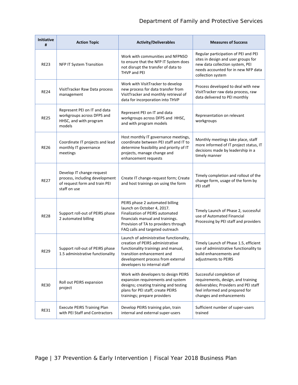| Initiative<br># | <b>Action Topic</b>                                                                                          | <b>Activity/Deliverables</b>                                                                                                                                                                                          | <b>Measures of Success</b>                                                                                                                                                 |
|-----------------|--------------------------------------------------------------------------------------------------------------|-----------------------------------------------------------------------------------------------------------------------------------------------------------------------------------------------------------------------|----------------------------------------------------------------------------------------------------------------------------------------------------------------------------|
| <b>RE23</b>     | NFP IT System Transition                                                                                     | Work with communities and NFPNSO<br>to ensure that the NFP IT System does<br>not disrupt the transfer of data to<br>THVP and PEI                                                                                      | Regular participation of PEI and PEI<br>sites in design and user groups for<br>new data collection system, PEI<br>needs accounted for in new NFP data<br>collection system |
| <b>RE24</b>     | VisitTracker Raw Data process<br>management                                                                  | Work with VisitTracker to develop<br>new process for data transfer from<br>VisitTracker and monthly retrieval of<br>data for incorporation into THVP                                                                  | Process developed to deal with new<br>VisitTracker raw data process, raw<br>data delivered to PEI monthly                                                                  |
| <b>RE25</b>     | Represent PEI on IT and data<br>workgroups across DFPS and<br>HHSC, and with program<br>models               | Represent PEI on IT and data<br>workgroups across DFPS and HHSC,<br>and with program models                                                                                                                           | Representation on relevant<br>workgroups                                                                                                                                   |
| <b>RE26</b>     | Coordinate IT projects and lead<br>monthly IT governance<br>meetings                                         | Host monthly IT governance meetings,<br>coordinate between PEI staff and IT to<br>determine feasibility and priority of IT<br>projects, manage change and<br>enhancement requests                                     | Monthly meetings take place, staff<br>more informed of IT project status, IT<br>decisions made by leadership in a<br>timely manner                                         |
| <b>RE27</b>     | Develop IT change-request<br>process, including development<br>of request form and train PEI<br>staff on use | Create IT change-request form; Create<br>and host trainings on using the form                                                                                                                                         | Timely completion and rollout of the<br>change form, usage of the form by<br>PEI staff                                                                                     |
| <b>RE28</b>     | Support roll-out of PEIRS phase<br>2 automated billing                                                       | PEIRS phase 2 automated billing<br>launch on October 4, 2017.<br>Finalization of PEIRS automated<br>financials manual and trainings.<br>Provision of TA to providers through<br>FAQ calls and targeted outreach       | Timely Launch of Phase 2, successful<br>use of Automated Financial<br>Processing by PEI staff and providers                                                                |
| <b>RE29</b>     | Support roll-out of PEIRS phase<br>1.5 administrative functionality                                          | Launch of administrative functionality,<br>creation of PEIRS administrative<br>functionality trainings and manual,<br>transition enhancement and<br>development process from external<br>developers to internal staff | Timely Launch of Phase 1.5, efficient<br>use of administrative functionality to<br>build enhancements and<br>adjustments to PEIRS                                          |
| <b>RE30</b>     | Roll out PEIRS expansion<br>project                                                                          | Work with developers to design PEIRS<br>expansion requirements and system<br>designs; creating training and testing<br>plans for PEI staff; create PEIRS<br>trainings; prepare providers                              | Successful completion of<br>requirements, design, and training<br>deliverables; Providers and PEI staff<br>feel informed and prepared for<br>changes and enhancements      |
| <b>RE31</b>     | <b>Execute PEIRS Training Plan</b><br>with PEI Staff and Contractors                                         | Develop PEIRS training plan, train<br>internal and external super-users                                                                                                                                               | Sufficient number of super-users<br>trained                                                                                                                                |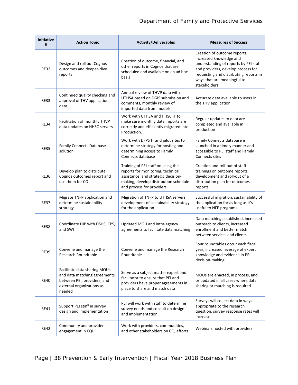| <b>Initiative</b><br># | <b>Action Topic</b>                                                                                                                | <b>Activity/Deliverables</b>                                                                                                                                                         | <b>Measures of Success</b>                                                                                                                                                                                                      |
|------------------------|------------------------------------------------------------------------------------------------------------------------------------|--------------------------------------------------------------------------------------------------------------------------------------------------------------------------------------|---------------------------------------------------------------------------------------------------------------------------------------------------------------------------------------------------------------------------------|
| <b>RE32</b>            | Design and roll out Cognos<br>outcomes and deeper-dive<br>reports                                                                  | Creation of outcome, financial, and<br>other reports in Cognos that are<br>scheduled and available on an ad hoc<br>basis                                                             | Creation of outcome reports,<br>increased knowledge and<br>understanding of reports by PEI staff<br>and providers, develop process for<br>requesting and distributing reports in<br>ways that are meaningful to<br>stakeholders |
| <b>RE33</b>            | Continued quality checking and<br>approval of THV application<br>data                                                              | Annual review of THVP data with<br>UTHSA based on DGIS submission and<br>comments, monthly review of<br>imported data from models                                                    | Accurate data available to users in<br>the THV application                                                                                                                                                                      |
| <b>RE34</b>            | Facilitation of monthly THVP<br>data updates on HHSC servers                                                                       | Work with UTHSA and HHSC IT to<br>make sure monthly data imports are<br>correctly and efficiently migrated into<br>Production.                                                       | Regular updates to data are<br>completed and available in<br>production                                                                                                                                                         |
| <b>RE35</b>            | <b>Family Connects Database</b><br>solution                                                                                        | Work with DFPS IT and pilot sites to<br>determine strategy for hosting and<br>determining access to Family<br>Connects database                                                      | Family Connects database is<br>launched in a timely manner and<br>accessible to PEI staff and Family<br>Connects sites                                                                                                          |
| <b>RE36</b>            | Develop plan to distribute<br>Cognos outcomes report and<br>use them for CQI                                                       | Training of PEI staff on using the<br>reports for monitoring, technical<br>assistance, and strategic decision-<br>making; develop distribution schedule<br>and process for providers | Creation and roll-out of staff<br>trainings on outcome reports,<br>development and roll-out of a<br>distribution plan for outcomes<br>reports                                                                                   |
| <b>RE37</b>            | Migrate TNFP application and<br>determine sustainability<br>strategy                                                               | Migration of TNFP to UTHSA servers,<br>development of sustainability strategy<br>for the application                                                                                 | Successful migration, sustainability of<br>the application for as long as it's<br>useful to NFP programs                                                                                                                        |
| <b>RE38</b>            | Coordinate HIP with DSHS, CPS,<br>and SWI                                                                                          | Updated MOU and intra-agency<br>agreements to facilitate data matching                                                                                                               | Data matching established, increased<br>outreach to clients, increased<br>enrollment and better match<br>between services and clients                                                                                           |
| <b>RE39</b>            | Convene and manage the<br>Research Roundtable                                                                                      | Convene and manage the Research<br>Roundtable                                                                                                                                        | Four roundtables occur each fiscal<br>year, increased leverage of expert<br>knowledge and evidence in PEI<br>decision-making                                                                                                    |
| <b>RE40</b>            | Facilitate data sharing MOUs<br>and data matching agreements<br>between PEI, providers, and<br>external organizations as<br>needed | Serve as a subject matter expert and<br>facilitator to ensure that PEI and<br>providers have proper agreements in<br>place to share and match data                                   | MOUs are enacted, in process, and<br>or updated in all cases where data<br>sharing or matching is required                                                                                                                      |
| <b>RE41</b>            | Support PEI staff in survey<br>design and implementation                                                                           | PEI will work with staff to determine<br>survey needs and consult on design<br>and implementation.                                                                                   | Surveys will collect data in ways<br>appropriate to the research<br>question, survey response rates will<br>increase                                                                                                            |
| <b>RE42</b>            | Community and provider<br>engagement in CQI                                                                                        | Work with providers, communities,<br>and other stakeholders on CQI efforts                                                                                                           | Webinars hosted with providers                                                                                                                                                                                                  |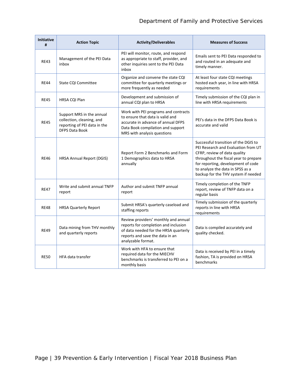| <b>Initiative</b><br># | <b>Action Topic</b>                                                                                             | <b>Activity/Deliverables</b>                                                                                                                                                       | <b>Measures of Success</b>                                                                                                                                                                                                                                            |
|------------------------|-----------------------------------------------------------------------------------------------------------------|------------------------------------------------------------------------------------------------------------------------------------------------------------------------------------|-----------------------------------------------------------------------------------------------------------------------------------------------------------------------------------------------------------------------------------------------------------------------|
| <b>RE43</b>            | Management of the PEI Data<br>inbox                                                                             | PEI will monitor, route, and respond<br>as appropriate to staff, provider, and<br>other inquiries sent to the PEI Data<br>inbox                                                    | Emails sent to PEI Data responded to<br>and routed in an adequate and<br>timely manner.                                                                                                                                                                               |
| <b>RE44</b>            | State CQI Committee                                                                                             | Organize and convene the state CQI<br>committee for quarterly meetings or<br>more frequently as needed                                                                             | At least four state CQI meetings<br>hosted each year, in line with HRSA<br>requirements                                                                                                                                                                               |
| <b>RE45</b>            | <b>HRSA COI Plan</b>                                                                                            | Development and submission of<br>annual CQI plan to HRSA                                                                                                                           | Timely submission of the CQI plan in<br>line with HRSA requirements                                                                                                                                                                                                   |
| <b>RE45</b>            | Support MRS in the annual<br>collection, cleaning, and<br>reporting of PEI data in the<br><b>DFPS Data Book</b> | Work with PEI programs and contracts<br>to ensure that data is valid and<br>accurate in advance of annual DFPS<br>Data Book compilation and support<br>MRS with analysis questions | PEI's data in the DFPS Data Book is<br>accurate and valid                                                                                                                                                                                                             |
| <b>RE46</b>            | <b>HRSA Annual Report (DGIS)</b>                                                                                | Report Form 2 Benchmarks and Form<br>1 Demographics data to HRSA<br>annually                                                                                                       | Successful transition of the DGIS to<br>PEI Research and Evaluation from UT<br>CFRP, review of data quality<br>throughout the fiscal year to prepare<br>for reporting, development of code<br>to analyze the data in SPSS as a<br>backup for the THV system if needed |
| <b>RE47</b>            | Write and submit annual TNFP<br>report                                                                          | Author and submit TNFP annual<br>report                                                                                                                                            | Timely completion of the TNFP<br>report, review of TNFP data on a<br>regular basis                                                                                                                                                                                    |
| <b>RE48</b>            | <b>HRSA Quarterly Report</b>                                                                                    | Submit HRSA's quarterly caseload and<br>staffing reports                                                                                                                           | Timely submission of the quarterly<br>reports in line with HRSA<br>requirements                                                                                                                                                                                       |
| <b>RE49</b>            | Data mining from THV monthly<br>and quarterly reports                                                           | Review providers' monthly and annual<br>reports for completion and inclusion<br>of data needed for the HRSA quarterly<br>reports and save the data in an<br>analyzable format.     | Data is compiled accurately and<br>quality checked.                                                                                                                                                                                                                   |
| <b>RE50</b>            | HFA data transfer                                                                                               | Work with HFA to ensure that<br>required data for the MIECHV<br>benchmarks is transferred to PEI on a<br>monthly basis                                                             | Data is received by PEI in a timely<br>fashion, TA is provided on HRSA<br>benchmarks                                                                                                                                                                                  |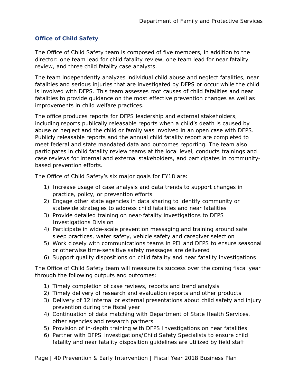#### <span id="page-39-0"></span>**Office of Child Safety**

The Office of Child Safety team is composed of five members, in addition to the director: one team lead for child fatality review, one team lead for near fatality review, and three child fatality case analysts.

The team independently analyzes individual child abuse and neglect fatalities, near fatalities and serious injuries that are investigated by DFPS or occur while the child is involved with DFPS. This team assesses root causes of child fatalities and near fatalities to provide guidance on the most effective prevention changes as well as improvements in child welfare practices.

The office produces reports for DFPS leadership and external stakeholders, including reports publically releasable reports when a child's death is caused by abuse or neglect and the child or family was involved in an open case with DFPS. Publicly releasable reports and the annual child fatality report are completed to meet federal and state mandated data and outcomes reporting. The team also participates in child fatality review teams at the local level, conducts trainings and case reviews for internal and external stakeholders, and participates in communitybased prevention efforts.

The Office of Child Safety's six major goals for FY18 are:

- 1) Increase usage of case analysis and data trends to support changes in practice, policy, or prevention efforts
- 2) Engage other state agencies in data sharing to identify community or statewide strategies to address child fatalities and near fatalities
- 3) Provide detailed training on near-fatality investigations to DFPS Investigations Division
- 4) Participate in wide-scale prevention messaging and training around safe sleep practices, water safety, vehicle safety and caregiver selection
- 5) Work closely with communications teams in PEI and DFPS to ensure seasonal or otherwise time-sensitive safety messages are delivered
- 6) Support quality dispositions on child fatality and near fatality investigations

The Office of Child Safety team will measure its success over the coming fiscal year through the following outputs and outcomes:

- 1) Timely completion of case reviews, reports and trend analysis
- 2) Timely delivery of research and evaluation reports and other products
- 3) Delivery of 12 internal or external presentations about child safety and injury prevention during the fiscal year
- 4) Continuation of data matching with Department of State Health Services, other agencies and research partners
- 5) Provision of in-depth training with DFPS Investigations on near fatalities
- 6) Partner with DFPS Investigations/Child Safety Specialists to ensure child fatality and near fatality disposition guidelines are utilized by field staff

Page | 40 Prevention & Early Intervention | Fiscal Year 2018 Business Plan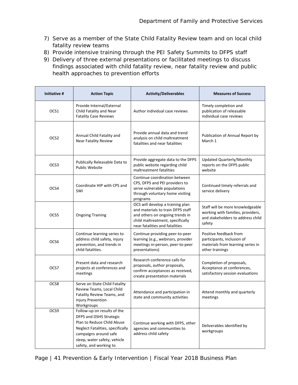- 7) Serve as a member of the State Child Fatality Review team and on local child fatality review teams
- 8) Provide intensive training through the PEI Safety Summits to DFPS staff
- 9) Delivery of three external presentations or facilitated meetings to discuss findings associated with child fatality review, near fatality review and public health approaches to prevention efforts

| Initiative #     | <b>Action Topic</b>                                                                                                                                                                                                | <b>Activity/Deliverables</b>                                                                                                                                                   | <b>Measures of Success</b>                                                                                           |
|------------------|--------------------------------------------------------------------------------------------------------------------------------------------------------------------------------------------------------------------|--------------------------------------------------------------------------------------------------------------------------------------------------------------------------------|----------------------------------------------------------------------------------------------------------------------|
| OCS1             | Provide Internal/External<br>Child Fatality and Near<br><b>Fatality Case Reviews</b>                                                                                                                               | Author individual case reviews                                                                                                                                                 | Timely completion and<br>publication of releasable<br>individual case reviews                                        |
| OCS <sub>2</sub> | Annual Child Fatality and<br><b>Near Fatality Review</b>                                                                                                                                                           | Provide annual data and trend<br>analysis on child maltreatment<br>fatalities and near fatalities                                                                              | Publication of Annual Report by<br>March 1                                                                           |
| OCS3             | Publically Releasable Data to<br><b>Public Website</b>                                                                                                                                                             | Provide aggregate data to the DFPS<br>public website regarding child<br>maltreatment fatalities                                                                                | Updated Quarterly/Monthly<br>reports on the DFPS public<br>website                                                   |
| OCS4             | Coordinate HIP with CPS and<br>SWI                                                                                                                                                                                 | Continue coordination between<br>CPS, DFPS and PEI providers to<br>serve vulnerable populations<br>through voluntary home visiting<br>programs                                 | Continued timely referrals and<br>service delivery                                                                   |
| OCS5             | <b>Ongoing Training</b>                                                                                                                                                                                            | OCS will develop a training plan<br>and materials to train DFPS staff<br>and others on ongoing trends in<br>child maltreatment, specifically<br>near fatalities and fatalities | Staff will be more knowledgeable<br>working with families, providers,<br>and stakeholders to address child<br>safety |
| OCS6             | Continue learning series to<br>address child safety, injury<br>prevention, and trends in<br>child fatalities.                                                                                                      | Continue providing peer-to-peer<br>learning (e.g., webinars, provider<br>meetings in-person, peer-to-peer<br>presentations)                                                    | Positive feedback from<br>participants, inclusion of<br>materials from learning series in<br>other trainings         |
| OCS7             | Present data and research<br>projects at conferences and<br>meetings                                                                                                                                               | Research conference calls for<br>proposals, author proposals,<br>confirm acceptances as received,<br>create presentation materials                                             | Completion of proposals,<br>Acceptance at conferences,<br>satisfactory session evaluations                           |
| OCS8             | Serve on State Child Fatality<br>Review Teams, Local Child<br>Fatality Review Teams, and<br>Injury Prevention<br>Workgroups                                                                                        | Attendance and participation in<br>state and community activities                                                                                                              | Attend monthly and quarterly<br>meetings                                                                             |
| OCS9             | Follow-up on results of the<br>DFPS and DSHS Strategic<br>Plan to Reduce Child Abuse<br><b>Neglect Fatalities, specifically</b><br>campaigns around safe<br>sleep, water safety, vehicle<br>safety, and working to | Continue working with DFPS, other<br>agencies and communities to<br>address child safety                                                                                       | Deliverables identified by<br>workgroups                                                                             |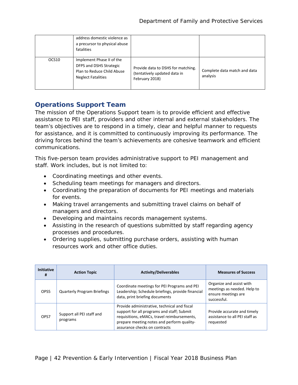|       | address domestic violence as<br>a precursor to physical abuse<br>fatalities                                     |                                                                                      |                                          |
|-------|-----------------------------------------------------------------------------------------------------------------|--------------------------------------------------------------------------------------|------------------------------------------|
| OCS10 | Implement Phase II of the<br>DFPS and DSHS Strategic<br>Plan to Reduce Child Abuse<br><b>Neglect Fatalities</b> | Provide data to DSHS for matching.<br>(tentatively updated data in<br>February 2018) | Complete data match and data<br>analysis |

### <span id="page-41-0"></span>**Operations Support Team**

The mission of the Operations Support team is to provide efficient and effective assistance to PEI staff, providers and other internal and external stakeholders. The team's objectives are to respond in a timely, clear and helpful manner to requests for assistance, and it is committed to continuously improving its performance. The driving forces behind the team's achievements are cohesive teamwork and efficient communications.

This five-person team provides administrative support to PEI management and staff. Work includes, but is not limited to:

- Coordinating meetings and other events.
- Scheduling team meetings for managers and directors.
- Coordinating the preparation of documents for PEI meetings and materials for events.
- Making travel arrangements and submitting travel claims on behalf of managers and directors.
- Developing and maintains records management systems.
- Assisting in the research of questions submitted by staff regarding agency processes and procedures.
- Ordering supplies, submitting purchase orders, assisting with human resources work and other office duties.

| <b>Initiative</b><br># | <b>Action Topic</b>                   | <b>Activity/Deliverables</b>                                                                                                                                                                                             | <b>Measures of Success</b>                                                                    |
|------------------------|---------------------------------------|--------------------------------------------------------------------------------------------------------------------------------------------------------------------------------------------------------------------------|-----------------------------------------------------------------------------------------------|
| OPS5                   | <b>Quarterly Program Briefings</b>    | Coordinate meetings for PEI Programs and PEI<br>Leadership; Schedule briefings, provide financial<br>data, print briefing documents                                                                                      | Organize and assist with<br>meetings as needed. Help to<br>ensure meetings are<br>successful. |
| OPS7                   | Support all PEI staff and<br>programs | Provide administrative, technical and fiscal<br>support for all programs and staff; Submit<br>requisitions, eMACs, travel reimbursements,<br>prepare meeting notes and perform quality-<br>assurance checks on contracts | Provide accurate and timely<br>assistance to all PEI staff as<br>requested                    |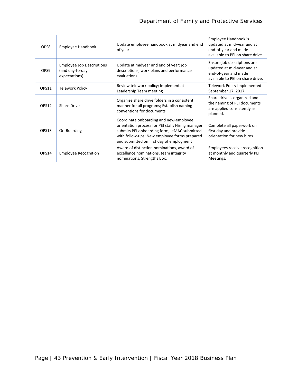| OPS8              | Employee Handbook                                                    | Update employee handbook at midyear and end<br>of year                                                                                                                                                                                 | Employee Handbook is<br>updated at mid-year and at<br>end-of-year and made<br>available to PEI on share drive.        |
|-------------------|----------------------------------------------------------------------|----------------------------------------------------------------------------------------------------------------------------------------------------------------------------------------------------------------------------------------|-----------------------------------------------------------------------------------------------------------------------|
| OPS9              | <b>Employee Job Descriptions</b><br>(and day-to-day<br>expectations) | Update at midyear and end of year: job<br>descriptions, work plans and performance<br>evaluations                                                                                                                                      | Ensure job descriptions are<br>updated at mid-year and at<br>end-of-year and made<br>available to PEI on share drive. |
| OPS11             | <b>Telework Policy</b>                                               | Review telework policy; Implement at<br>Leadership Team meeting                                                                                                                                                                        | Telework Policy Implemented<br>September 17, 2017                                                                     |
| OPS12             | <b>Share Drive</b>                                                   | Organize share drive folders in a consistent<br>manner for all programs; Establish naming<br>conventions for documents                                                                                                                 | Share drive is organized and<br>the naming of PEI documents<br>are applied consistently as<br>planned.                |
| OPS <sub>13</sub> | On-Boarding                                                          | Coordinate onboarding and new-employee<br>orientation process for PEI staff; Hiring manager<br>submits PEI onboarding form; eMAC submitted<br>with follow-ups; New employee forms prepared<br>and submitted on first day of employment | Complete all paperwork on<br>first day and provide<br>orientation for new hires                                       |
| OPS14             | <b>Employee Recognition</b>                                          | Award of distinction nominations, award of<br>excellence nominations, team integrity<br>nominations, Strengths Box.                                                                                                                    | Employees receive recognition<br>at monthly and quarterly PEI<br>Meetings.                                            |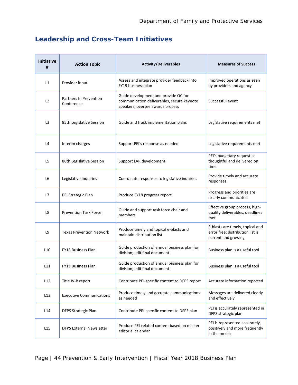# <span id="page-43-0"></span>**Leadership and Cross-Team Initiatives**

| <b>Initiative</b><br># | <b>Action Topic</b>                  | <b>Activity/Deliverables</b>                                                                                           | <b>Measures of Success</b>                                                                  |
|------------------------|--------------------------------------|------------------------------------------------------------------------------------------------------------------------|---------------------------------------------------------------------------------------------|
| L1                     | Provider input                       | Assess and integrate provider feedback into<br>FY19 business plan                                                      | Improved operations as seen<br>by providers and agency                                      |
| L <sub>2</sub>         | Partners In Prevention<br>Conference | Guide development and provide QC for<br>communication deliverables, secure keynote<br>speakers, oversee awards process | Successful event                                                                            |
| L3                     | 85th Legislative Session             | Guide and track implementation plans                                                                                   | Legislative requirements met                                                                |
| L4                     | Interim charges                      | Support PEI's response as needed                                                                                       | Legislative requirements met                                                                |
| L5                     | 86th Legislative Session             | Support LAR development                                                                                                | PEI's budgetary request is<br>thoughtful and delivered on<br>time                           |
| L <sub>6</sub>         | Legislative Inquiries                | Coordinate responses to legislative inquiries                                                                          | Provide timely and accurate<br>responses                                                    |
| L7                     | PEI Strategic Plan                   | Produce FY18 progress report                                                                                           | Progress and priorities are<br>clearly communicated                                         |
| L8                     | <b>Prevention Task Force</b>         | Guide and support task force chair and<br>members                                                                      | Effective group process, high-<br>quality deliverables, deadlines<br>met                    |
| L9                     | <b>Texas Prevention Network</b>      | Produce timely and topical e-blasts and<br>maintain distribution list                                                  | E-blasts are timely, topical and<br>error free; distribution list is<br>current and growing |
| L <sub>10</sub>        | <b>FY18 Business Plan</b>            | Guide production of annual business plan for<br>division; edit final document                                          | Business plan is a useful tool                                                              |
| L11                    | <b>FY19 Business Plan</b>            | Guide production of annual business plan for<br>division; edit final document                                          | Business plan is a useful tool                                                              |
| L <sub>12</sub>        | Title IV-B report                    | Contribute PEI-specific content to DFPS report                                                                         | Accurate information reported                                                               |
| L <sub>13</sub>        | <b>Executive Communications</b>      | Produce timely and accurate communications<br>as needed                                                                | Messages are delivered clearly<br>and effectively                                           |
| L <sub>14</sub>        | <b>DFPS Strategic Plan</b>           | Contribute PEI-specific content to DFPS plan                                                                           | PEI is accurately represented in<br>DFPS strategic plan                                     |
| L <sub>15</sub>        | <b>DFPS External Newsletter</b>      | Produce PEI-related content based on master<br>editorial calendar                                                      | PEI is represented accurately,<br>positively and more frequently<br>in the media            |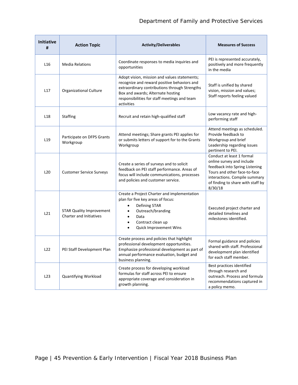| <b>Initiative</b><br># | <b>Action Topic</b>                                               | <b>Activity/Deliverables</b>                                                                                                                                                                                                                    | <b>Measures of Success</b>                                                                                                                                                                                |
|------------------------|-------------------------------------------------------------------|-------------------------------------------------------------------------------------------------------------------------------------------------------------------------------------------------------------------------------------------------|-----------------------------------------------------------------------------------------------------------------------------------------------------------------------------------------------------------|
| L <sub>16</sub>        | <b>Media Relations</b>                                            | Coordinate responses to media inquiries and<br>opportunities                                                                                                                                                                                    | PEI is represented accurately,<br>positively and more frequently<br>in the media                                                                                                                          |
| L <sub>17</sub>        | Organizational Culture                                            | Adopt vision, mission and values statements;<br>recognize and reward positive behaviors and<br>extraordinary contributions through Strengths<br>Box and awards; Alternate hosting<br>responsibilities for staff meetings and team<br>activities | Staff is unified by shared<br>vision, mission and values;<br>Staff reports feeling valued                                                                                                                 |
| L <sub>18</sub>        | <b>Staffing</b>                                                   | Recruit and retain high-qualified staff                                                                                                                                                                                                         | Low vacancy rate and high-<br>performing staff                                                                                                                                                            |
| L <sub>19</sub>        | Participate on DFPS Grants<br>Workgroup                           | Attend meetings; Share grants PEI applies for<br>or submits letters of support for to the Grants<br>Workgroup                                                                                                                                   | Attend meetings as scheduled.<br>Provide feedback to<br>Workgroup and brief<br>Leadership regarding issues<br>pertinent to PEI.                                                                           |
| L <sub>20</sub>        | <b>Customer Service Surveys</b>                                   | Create a series of surveys and to solicit<br>feedback on PEI staff performance. Areas of<br>focus will include communications, processes<br>and policies and customer service.                                                                  | Conduct at least 1 formal<br>online survey and include<br>feedback into Spring Listening<br>Tours and other face-to-face<br>interactions. Compile summary<br>of finding to share with staff by<br>8/30/18 |
| L21                    | <b>STAR Quality Improvement</b><br><b>Charter and Initiatives</b> | Create a Project Charter and implementation<br>plan for five key areas of focus:<br>Defining STAR<br>$\bullet$<br>Outreach/branding<br>$\bullet$<br>Data<br>$\bullet$<br>Contract clean up<br>$\bullet$<br>Quick Improvement Wins<br>$\bullet$  | Executed project charter and<br>detailed timelines and<br>milestones identified.                                                                                                                          |
| L22                    | PEI Staff Development Plan                                        | Create process and policies that highlight<br>professional development opportunities.<br>Emphasize professional development as part of<br>annual performance evaluation, budget and<br>business planning.                                       | Formal guidance and policies<br>shared with staff. Professional<br>development plan identified<br>for each staff member.                                                                                  |
| L <sub>23</sub>        | Quantifying Workload                                              | Create process for developing workload<br>formulas for staff across PEI to ensure<br>appropriate coverage and consideration in<br>growth planning.                                                                                              | Best practices identified<br>through research and<br>outreach. Process and formula<br>recommendations captured in<br>a policy memo.                                                                       |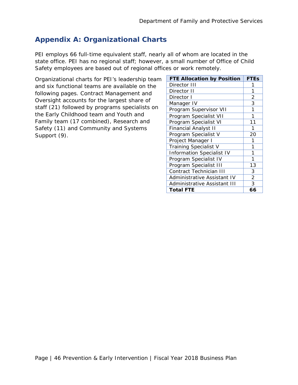# <span id="page-45-0"></span>**Appendix A: Organizational Charts**

PEI employs 66 full-time equivalent staff, nearly all of whom are located in the state office. PEI has no regional staff; however, a small number of Office of Child Safety employees are based out of regional offices or work remotely.

Organizational charts for PEI's leadership team and six functional teams are available on the following pages. Contract Management and Oversight accounts for the largest share of staff (21) followed by programs specialists on the Early Childhood team and Youth and Family team (17 combined), Research and Safety (11) and Community and Systems Support (9).

| <b>FTE Allocation by Position</b> | <b>FTEs</b>    |
|-----------------------------------|----------------|
| Director III                      |                |
| Director II                       |                |
| Director I                        | $\overline{2}$ |
| Manager IV                        | 3              |
| Program Supervisor VII            | 1              |
| Program Specialist VII            | 1              |
| Program Specialist VI             | 11             |
| <b>Financial Analyst II</b>       | 1              |
| Program Specialist V              | 20             |
| Project Manager I                 | 1              |
| <b>Training Specialist V</b>      | 1              |
| <b>Information Specialist IV</b>  | 1              |
| Program Specialist IV             | 1              |
| Program Specialist III            | 13             |
| <b>Contract Technician III</b>    | 3              |
| Administrative Assistant IV       | 2              |
| Administrative Assistant III      | 3              |
| <b>Total FTE</b>                  | 66             |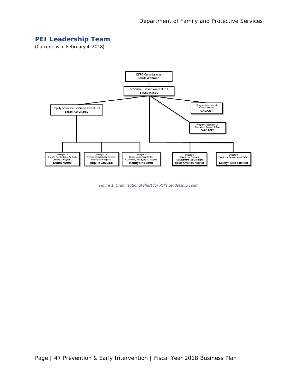## <span id="page-46-0"></span>**PEI Leadership Team**



*Figure 1: Organizational chart for PEI's Leadership Team*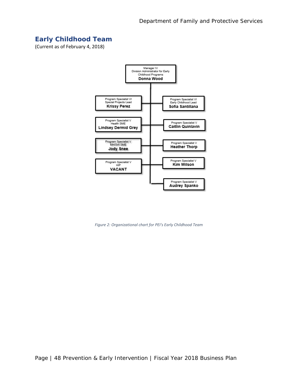### <span id="page-47-0"></span>**Early Childhood Team**

(Current as of February 4, 2018)



*Figure 2: Organizational chart for PEI's Early Childhood Team*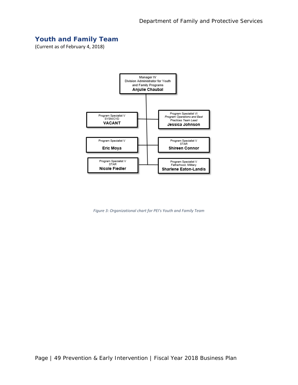## <span id="page-48-0"></span>**Youth and Family Team**



*Figure 3: Organizational chart for PEI's Youth and Family Team*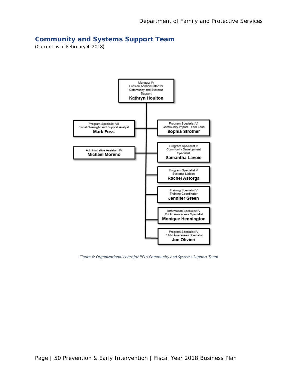#### <span id="page-49-0"></span>**Community and Systems Support Team**



*Figure 4: Organizational chart for PEI's Community and Systems Support Team*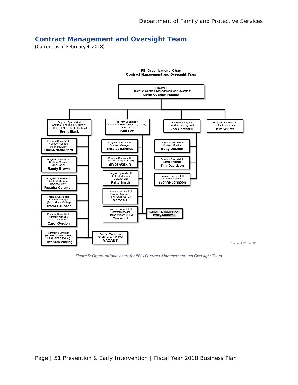#### <span id="page-50-0"></span>**Contract Management and Oversight Team**



*Figure 5: Organizational chart for PEI's Contract Management and Oversight Team*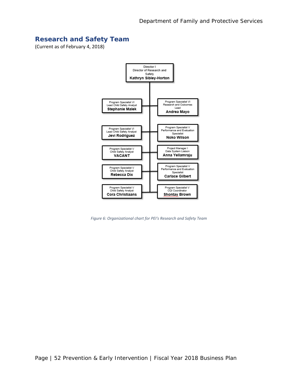### <span id="page-51-0"></span>**Research and Safety Team**



*Figure 6: Organizational chart for PEI's Research and Safety Team*